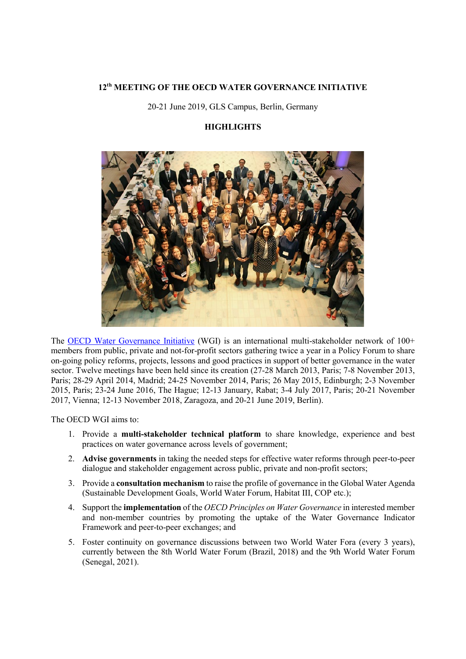### **12th MEETING OF THE OECD WATER GOVERNANCE INITIATIVE**

20-21 June 2019, GLS Campus, Berlin, Germany

# **HIGHLIGHTS**



The [OECD Water Governance Initiative](http://www.oecd.org/gov/regional-policy/water-governance-initiative.htm) (WGI) is an international multi-stakeholder network of 100+ members from public, private and not-for-profit sectors gathering twice a year in a Policy Forum to share on-going policy reforms, projects, lessons and good practices in support of better governance in the water sector. Twelve meetings have been held since its creation (27-28 March 2013, Paris; 7-8 November 2013, Paris; 28-29 April 2014, Madrid; 24-25 November 2014, Paris; 26 May 2015, Edinburgh; 2-3 November 2015, Paris; 23-24 June 2016, The Hague; 12-13 January, Rabat; 3-4 July 2017, Paris; 20-21 November 2017, Vienna; 12-13 November 2018, Zaragoza, and 20-21 June 2019, Berlin).

The OECD WGI aims to:

- 1. Provide a **multi-stakeholder technical platform** to share knowledge, experience and best practices on water governance across levels of government;
- 2. **Advise governments** in taking the needed steps for effective water reforms through peer-to-peer dialogue and stakeholder engagement across public, private and non-profit sectors;
- 3. Provide a **consultation mechanism** to raise the profile of governance in the Global Water Agenda (Sustainable Development Goals, World Water Forum, Habitat III, COP etc.);
- 4. Support the **implementation** of the *OECD Principles on Water Governance* in interested member and non-member countries by promoting the uptake of the Water Governance Indicator Framework and peer-to-peer exchanges; and
- 5. Foster continuity on governance discussions between two World Water Fora (every 3 years), currently between the 8th World Water Forum (Brazil, 2018) and the 9th World Water Forum (Senegal, 2021).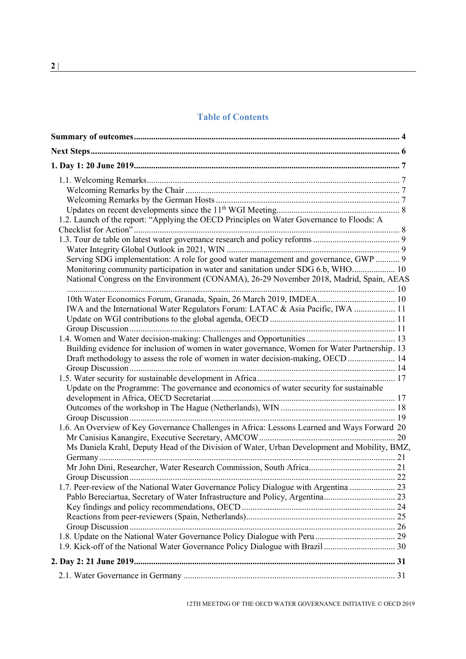# **Table of Contents**

| 1.2. Launch of the report: "Applying the OECD Principles on Water Governance to Floods: A     |  |
|-----------------------------------------------------------------------------------------------|--|
|                                                                                               |  |
|                                                                                               |  |
|                                                                                               |  |
| Serving SDG implementation: A role for good water management and governance, GWP  9           |  |
| Monitoring community participation in water and sanitation under SDG 6.b, WHO 10              |  |
| National Congress on the Environment (CONAMA), 26-29 November 2018, Madrid, Spain, AEAS       |  |
|                                                                                               |  |
| 10th Water Economics Forum, Granada, Spain, 26 March 2019, IMDEA 10                           |  |
| IWA and the International Water Regulators Forum: LATAC & Asia Pacific, IWA  11               |  |
|                                                                                               |  |
|                                                                                               |  |
|                                                                                               |  |
| Building evidence for inclusion of women in water governance, Women for Water Partnership. 13 |  |
| Draft methodology to assess the role of women in water decision-making, OECD  14              |  |
|                                                                                               |  |
|                                                                                               |  |
| Update on the Programme: The governance and economics of water security for sustainable       |  |
|                                                                                               |  |
|                                                                                               |  |
|                                                                                               |  |
| 1.6. An Overview of Key Governance Challenges in Africa: Lessons Learned and Ways Forward 20  |  |
|                                                                                               |  |
|                                                                                               |  |
| Ms Daniela Krahl, Deputy Head of the Division of Water, Urban Development and Mobility, BMZ,  |  |
|                                                                                               |  |
|                                                                                               |  |
|                                                                                               |  |
|                                                                                               |  |
|                                                                                               |  |
|                                                                                               |  |
|                                                                                               |  |
|                                                                                               |  |
|                                                                                               |  |
|                                                                                               |  |
|                                                                                               |  |
|                                                                                               |  |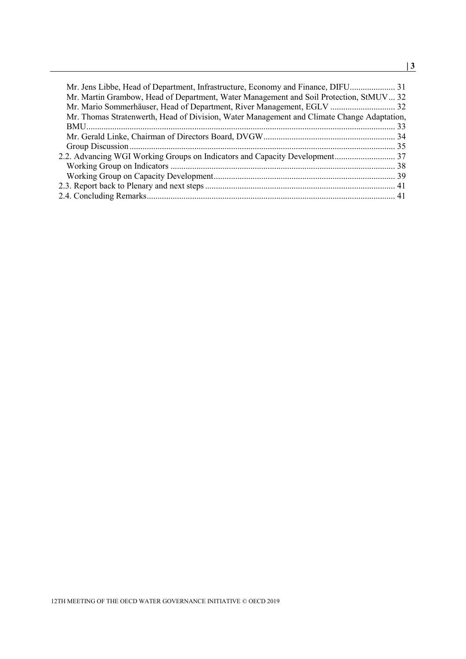| Mr. Jens Libbe, Head of Department, Infrastructure, Economy and Finance, DIFU 31           |  |
|--------------------------------------------------------------------------------------------|--|
| Mr. Martin Grambow, Head of Department, Water Management and Soil Protection, StMUV 32     |  |
|                                                                                            |  |
| Mr. Thomas Stratenwerth, Head of Division, Water Management and Climate Change Adaptation, |  |
|                                                                                            |  |
|                                                                                            |  |
|                                                                                            |  |
|                                                                                            |  |
|                                                                                            |  |
|                                                                                            |  |
|                                                                                            |  |
|                                                                                            |  |
|                                                                                            |  |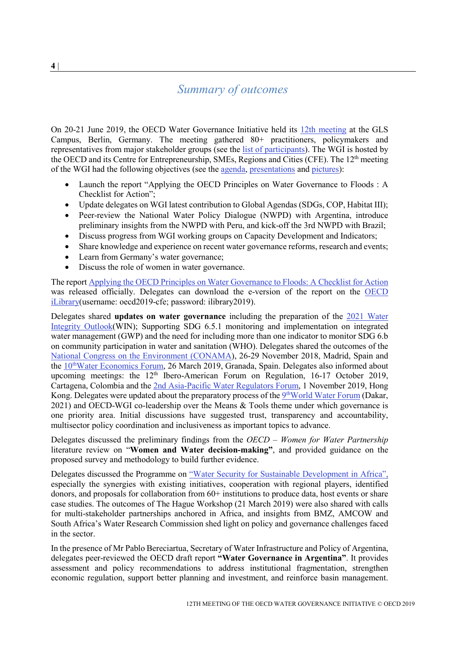# <span id="page-3-0"></span>*Summary of outcomes*

On 20-21 June 2019, the OECD Water Governance Initiative held its [12th meeting](http://www.oecd.org/cfe/regional-policy/12th-meeting-of-the-oecd-water-governance-initiative.htm) at the GLS Campus, Berlin, Germany. The meeting gathered 80+ practitioners, policymakers and representatives from major stakeholder groups (see the [list of participants\)](http://www.oecd.org/cfe/regional-policy/List%20of%20Participants_12_WGI.pdf). The WGI is hosted by the OECD and its Centre for Entrepreneurship, SMEs, Regions and Cities (CFE). The 12th meeting of the WGI had the following objectives (see the [agenda,](http://www.oecd.org/cfe/regional-policy/Agenda_12_WGI_Meeting.pdf) [presentations](http://www.oecd.org/cfe/regional-policy/12th-meeting-of-the-oecd-water-governance-initiative.htm) and [pictures\)](https://www.slideshare.net/OECD-regions/12th-oecd-wgi-meeting-151743604?ref=http://www.oecd.org/cfe/regional-policy/12th-meeting-of-the-oecd-water-governance-initiative.htm):

- Launch the report "Applying the OECD Principles on Water Governance to Floods : A Checklist for Action";
- Update delegates on WGI latest contribution to Global Agendas (SDGs, COP, Habitat III);
- Peer-review the National Water Policy Dialogue (NWPD) with Argentina, introduce preliminary insights from the NWPD with Peru, and kick-off the 3rd NWPD with Brazil;
- Discuss progress from WGI working groups on Capacity Development and Indicators;
- Share knowledge and experience on recent water governance reforms, research and events;
- Learn from Germany's water governance;
- Discuss the role of women in water governance.

The repor[t Applying the OECD Principles on Water Governance to Floods: A Checklist for Action](http://www1.oecd.org/fr/regional/applying-the-oecd-principles-on-water-governance-to-floods-d5098392-en.htm) was released officially. Delegates can download the e-version of the report on the [OECD](https://www.oecd-ilibrary.org/)  [iLibrary\(](https://www.oecd-ilibrary.org/)username: oecd2019-cfe; password: ilibrary2019).

Delegates shared **updates on water governance** including the preparation of the [2021 Water](https://www.waterintegritynetwork.net/2019/06/03/water-integrity-global-outlook-2021-call-for-contributions/)  [Integrity Outlook\(](https://www.waterintegritynetwork.net/2019/06/03/water-integrity-global-outlook-2021-call-for-contributions/)WIN); Supporting SDG 6.5.1 monitoring and implementation on integrated water management (GWP) and the need for including more than one indicator to monitor SDG 6.b on community participation in water and sanitation (WHO). Delegates shared the outcomes of the [National Congress on the Environment \(CONAMA\)](http://www.conama2018.org/web/index.php), 26-29 November 2018, Madrid, Spain and the 10<sup>th</sup>Water Economics Forum, 26 March 2019, Granada, Spain. Delegates also informed about upcoming meetings: the  $12<sup>th</sup>$  Ibero-American Forum on Regulation, 16-17 October 2019, Cartagena, Colombia and the 2nd Asia-Pacific [Water Regulators Forum,](https://www.iwaaspire2019.org/forums2.html) 1 November 2019, Hong Kong. Delegates were updated about the preparatory process of the 9<sup>th</sup>World Water Forum (Dakar, 2021) and OECD-WGI co-leadership over the Means & Tools theme under which governance is one priority area. Initial discussions have suggested trust, transparency and accountability, multisector policy coordination and inclusiveness as important topics to advance.

Delegates discussed the preliminary findings from the *OECD – Women for Water Partnership* literature review on "**Women and Water decision-making"**, and provided guidance on the proposed survey and methodology to build further evidence.

Delegates discussed the Programme on ["Water Security for Sustainable Development in Africa",](http://www.oecd.org/cfe/Prize-Brochure-WG.pdf) especially the synergies with existing initiatives, cooperation with regional players, identified donors, and proposals for collaboration from 60+ institutions to produce data, host events or share case studies. The outcomes of The Hague Workshop (21 March 2019) were also shared with calls for multi-stakeholder partnerships anchored in Africa, and insights from BMZ, AMCOW and South Africa's Water Research Commission shed light on policy and governance challenges faced in the sector.

In the presence of Mr Pablo Bereciartua, Secretary of Water Infrastructure and Policy of Argentina, delegates peer-reviewed the OECD draft report **"Water Governance in Argentina"**. It provides assessment and policy recommendations to address institutional fragmentation, strengthen economic regulation, support better planning and investment, and reinforce basin management.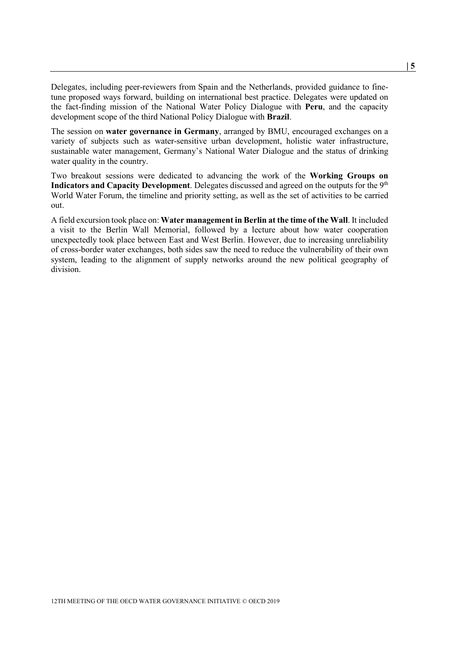Delegates, including peer-reviewers from Spain and the Netherlands, provided guidance to finetune proposed ways forward, building on international best practice. Delegates were updated on the fact-finding mission of the National Water Policy Dialogue with **Peru**, and the capacity development scope of the third National Policy Dialogue with **Brazil**.

The session on **water governance in Germany**, arranged by BMU, encouraged exchanges on a variety of subjects such as water-sensitive urban development, holistic water infrastructure, sustainable water management, Germany's National Water Dialogue and the status of drinking water quality in the country.

Two breakout sessions were dedicated to advancing the work of the **Working Groups on**  Indicators and Capacity Development. Delegates discussed and agreed on the outputs for the 9<sup>th</sup> World Water Forum, the timeline and priority setting, as well as the set of activities to be carried out.

A field excursion took place on: **Water management in Berlin at the time of the Wall**. It included a visit to the Berlin Wall Memorial, followed by a lecture about how water cooperation unexpectedly took place between East and West Berlin. However, due to increasing unreliability of cross-border water exchanges, both sides saw the need to reduce the vulnerability of their own system, leading to the alignment of supply networks around the new political geography of division.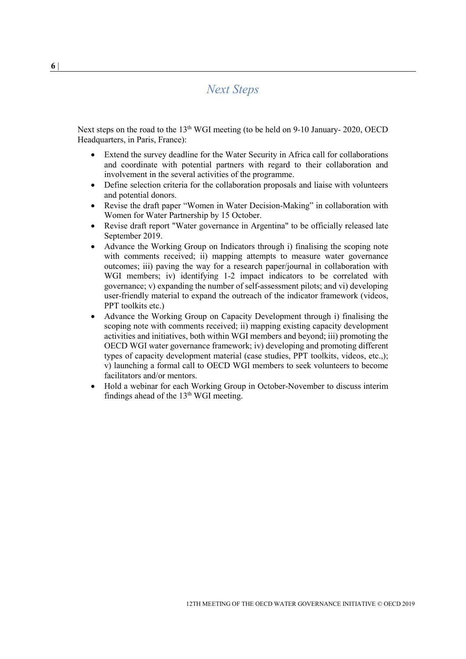# *Next Steps*

<span id="page-5-0"></span>Next steps on the road to the 13<sup>th</sup> WGI meeting (to be held on 9-10 January- 2020, OECD Headquarters, in Paris, France):

- Extend the survey deadline for the Water Security in Africa call for collaborations and coordinate with potential partners with regard to their collaboration and involvement in the several activities of the programme.
- Define selection criteria for the collaboration proposals and liaise with volunteers and potential donors.
- Revise the draft paper "Women in Water Decision-Making" in collaboration with Women for Water Partnership by 15 October.
- Revise draft report "Water governance in Argentina" to be officially released late September 2019.
- Advance the Working Group on Indicators through i) finalising the scoping note with comments received; ii) mapping attempts to measure water governance outcomes; iii) paving the way for a research paper/journal in collaboration with WGI members; iv) identifying 1-2 impact indicators to be correlated with governance; v) expanding the number of self-assessment pilots; and vi) developing user-friendly material to expand the outreach of the indicator framework (videos, PPT toolkits etc.)
- Advance the Working Group on Capacity Development through i) finalising the scoping note with comments received; ii) mapping existing capacity development activities and initiatives, both within WGI members and beyond; iii) promoting the OECD WGI water governance framework; iv) developing and promoting different types of capacity development material (case studies, PPT toolkits, videos, etc.,); v) launching a formal call to OECD WGI members to seek volunteers to become facilitators and/or mentors.
- Hold a webinar for each Working Group in October-November to discuss interim findings ahead of the 13<sup>th</sup> WGI meeting.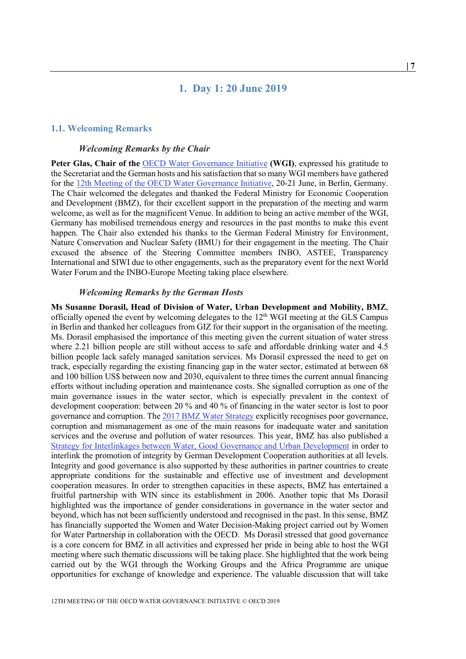## **1. Day 1: 20 June 2019**

#### <span id="page-6-1"></span><span id="page-6-0"></span>**1.1. Welcoming Remarks**

#### *Welcoming Remarks by the Chair*

<span id="page-6-2"></span>**Peter Glas, Chair of the** [OECD Water Governance Initiative](http://www.oecd.org/cfe/regional-policy/water-governance-initiative.htm) **(WGI)**, expressed his gratitude to the Secretariat and the German hosts and his satisfaction that so many WGI members have gathered for the [12th Meeting of the OECD Water Governance Initiative,](http://www.oecd.org/cfe/regional-policy/12th-meeting-of-the-oecd-water-governance-initiative.htm) 20-21 June, in Berlin, Germany. The Chair welcomed the delegates and thanked the Federal Ministry for Economic Cooperation and Development (BMZ), for their excellent support in the preparation of the meeting and warm welcome, as well as for the magnificent Venue. In addition to being an active member of the WGI, Germany has mobilised tremendous energy and resources in the past months to make this event happen. The Chair also extended his thanks to the German Federal Ministry for Environment, Nature Conservation and Nuclear Safety (BMU) for their engagement in the meeting. The Chair excused the absence of the Steering Committee members INBO, ASTEE, Transparency International and SIWI due to other engagements, such as the preparatory event for the next World Water Forum and the INBO-Europe Meeting taking place elsewhere.

#### *Welcoming Remarks by the German Hosts*

<span id="page-6-3"></span>**Ms Susanne Dorasil, Head of Division of Water, Urban Development and Mobility, BMZ**, officially opened the event by welcoming delegates to the  $12<sup>th</sup>$  WGI meeting at the GLS Campus in Berlin and thanked her colleagues from GIZ for their support in the organisation of the meeting. Ms. Dorasil emphasised the importance of this meeting given the current situation of water stress where 2.21 billion people are still without access to safe and affordable drinking water and 4.5 billion people lack safely managed sanitation services. Ms Dorasil expressed the need to get on track, especially regarding the existing financing gap in the water sector, estimated at between 68 and 100 billion US\$ between now and 2030, equivalent to three times the current annual financing efforts without including operation and maintenance costs. She signalled corruption as one of the main governance issues in the water sector, which is especially prevalent in the context of development cooperation: between 20 % and 40 % of financing in the water sector is lost to poor governance and corruption. Th[e 2017 BMZ Water Strategy](https://www.bmz.de/en/publications/type_of_publication/strategies/Strategiepapier390_08_2017.pdf) explicitly recognises poor governance, corruption and mismanagement as one of the main reasons for inadequate water and sanitation services and the overuse and pollution of water resources. This year, BMZ has also published a [Strategy for Interlinkages between Water, Good Governance and Urban Development](https://www.bmz.de/en/publications/type_of_publication/strategies/QBS_en.pdf) in order to interlink the promotion of integrity by German Development Cooperation authorities at all levels. Integrity and good governance is also supported by these authorities in partner countries to create appropriate conditions for the sustainable and effective use of investment and development cooperation measures. In order to strengthen capacities in these aspects, BMZ has entertained a fruitful partnership with WIN since its establishment in 2006. Another topic that Ms Dorasil highlighted was the importance of gender considerations in governance in the water sector and beyond, which has not been sufficiently understood and recognised in the past. In this sense, BMZ has financially supported the Women and Water Decision-Making project carried out by Women for Water Partnership in collaboration with the OECD. Ms Dorasil stressed that good governance is a core concern for BMZ in all activities and expressed her pride in being able to host the WGI meeting where such thematic discussions will be taking place. She highlighted that the work being carried out by the WGI through the Working Groups and the Africa Programme are unique opportunities for exchange of knowledge and experience. The valuable discussion that will take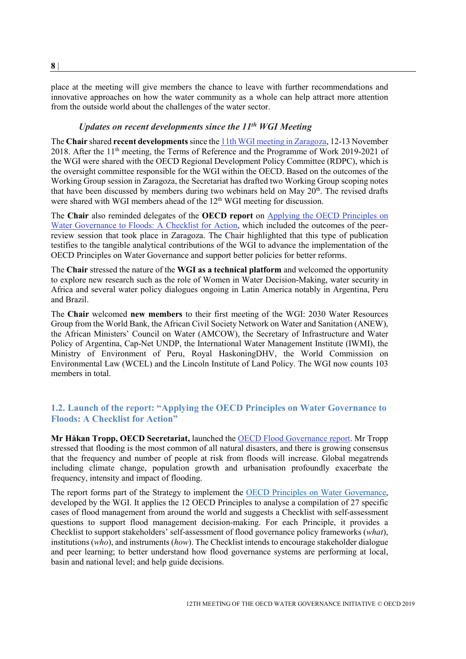place at the meeting will give members the chance to leave with further recommendations and innovative approaches on how the water community as a whole can help attract more attention from the outside world about the challenges of the water sector.

# *Updates on recent developments since the 11th WGI Meeting*

<span id="page-7-0"></span>The **Chair** shared **recent developments**since th[e 11th WGI meeting in Zaragoza,](http://www.oecd.org/cfe/regional-policy/11th-meeting-of-the-oecd-water-governance-initiative.htm) 12-13 November 2018. After the 11th meeting, the Terms of Reference and the Programme of Work 2019-2021 of the WGI were shared with the OECD Regional Development Policy Committee (RDPC), which is the oversight committee responsible for the WGI within the OECD. Based on the outcomes of the Working Group session in Zaragoza, the Secretariat has drafted two Working Group scoping notes that have been discussed by members during two webinars held on May  $20<sup>th</sup>$ . The revised drafts were shared with WGI members ahead of the  $12<sup>th</sup>$  WGI meeting for discussion.

The **Chair** also reminded delegates of the **OECD report** on [Applying the OECD Principles on](http://www1.oecd.org/fr/regional/applying-the-oecd-principles-on-water-governance-to-floods-d5098392-en.htm)  [Water Governance to Floods: A Checklist for Action,](http://www1.oecd.org/fr/regional/applying-the-oecd-principles-on-water-governance-to-floods-d5098392-en.htm) which included the outcomes of the peerreview session that took place in Zaragoza. The Chair highlighted that this type of publication testifies to the tangible analytical contributions of the WGI to advance the implementation of the OECD Principles on Water Governance and support better policies for better reforms.

The **Chair** stressed the nature of the **WGI as a technical platform** and welcomed the opportunity to explore new research such as the role of Women in Water Decision-Making, water security in Africa and several water policy dialogues ongoing in Latin America notably in Argentina, Peru and Brazil.

The **Chair** welcomed **new members** to their first meeting of the WGI: 2030 Water Resources Group from the World Bank, the African Civil Society Network on Water and Sanitation (ANEW), the African Ministers' Council on Water (AMCOW), the Secretary of Infrastructure and Water Policy of Argentina, Cap-Net UNDP, the International Water Management Institute (IWMI), the Ministry of Environment of Peru, Royal HaskoningDHV, the World Commission on Environmental Law (WCEL) and the Lincoln Institute of Land Policy. The WGI now counts 103 members in total.

# <span id="page-7-1"></span>**1.2. Launch of the report: "Applying the OECD Principles on Water Governance to Floods: A Checklist for Action"**

**Mr Håkan Tropp, OECD Secretariat,** launched the [OECD Flood Governance report.](http://www1.oecd.org/fr/regional/applying-the-oecd-principles-on-water-governance-to-floods-d5098392-en.htm) Mr Tropp stressed that flooding is the most common of all natural disasters, and there is growing consensus that the frequency and number of people at risk from floods will increase. Global megatrends including climate change, population growth and urbanisation profoundly exacerbate the frequency, intensity and impact of flooding.

The report forms part of the Strategy to implement the [OECD Principles on Water Governance,](http://www.oecd.org/governance/oecd-principles-on-water-governance.htm) developed by the WGI. It applies the 12 OECD Principles to analyse a compilation of 27 specific cases of flood management from around the world and suggests a Checklist with self-assessment questions to support flood management decision-making. For each Principle, it provides a Checklist to support stakeholders' self-assessment of flood governance policy frameworks (*what*), institutions (*who*), and instruments (*how*). The Checklist intends to encourage stakeholder dialogue and peer learning; to better understand how flood governance systems are performing at local, basin and national level; and help guide decisions.

**8** |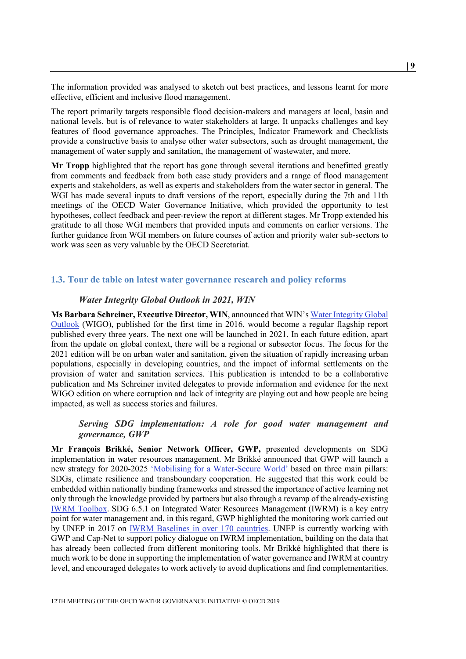The information provided was analysed to sketch out best practices, and lessons learnt for more effective, efficient and inclusive flood management.

The report primarily targets responsible flood decision-makers and managers at local, basin and national levels, but is of relevance to water stakeholders at large. It unpacks challenges and key features of flood governance approaches. The Principles, Indicator Framework and Checklists provide a constructive basis to analyse other water subsectors, such as drought management, the management of water supply and sanitation, the management of wastewater, and more.

**Mr Tropp** highlighted that the report has gone through several iterations and benefitted greatly from comments and feedback from both case study providers and a range of flood management experts and stakeholders, as well as experts and stakeholders from the water sector in general. The WGI has made several inputs to draft versions of the report, especially during the 7th and 11th meetings of the OECD Water Governance Initiative, which provided the opportunity to test hypotheses, collect feedback and peer-review the report at different stages. Mr Tropp extended his gratitude to all those WGI members that provided inputs and comments on earlier versions. The further guidance from WGI members on future courses of action and priority water sub-sectors to work was seen as very valuable by the OECD Secretariat.

### <span id="page-8-0"></span>**1.3. Tour de table on latest water governance research and policy reforms**

#### *Water Integrity Global Outlook in 2021, WIN*

<span id="page-8-1"></span>**Ms Barbara Schreiner, Executive Director, WIN**, announced that WIN's [Water Integrity Global](https://www.waterintegritynetwork.net/wigo/)  [Outlook](https://www.waterintegritynetwork.net/wigo/) (WIGO), published for the first time in 2016, would become a regular flagship report published every three years. The next one will be launched in 2021. In each future edition, apart from the update on global context, there will be a regional or subsector focus. The focus for the 2021 edition will be on urban water and sanitation, given the situation of rapidly increasing urban populations, especially in developing countries, and the impact of informal settlements on the provision of water and sanitation services. This publication is intended to be a collaborative publication and Ms Schreiner invited delegates to provide information and evidence for the next WIGO edition on where corruption and lack of integrity are playing out and how people are being impacted, as well as success stories and failures.

### <span id="page-8-2"></span>*Serving SDG implementation: A role for good water management and governance, GWP*

**Mr François Brikké, Senior Network Officer, GWP,** presented developments on SDG implementation in water resources management. Mr Brikké announced that GWP will launch a new strategy for 2020-2025 ['Mobilising for a Water-Secure World'](https://www.gwp.org/globalassets/global/about-gwp/strategic-documents/gwp-strategy-2020-2025.pdf) based on three main pillars: SDGs, climate resilience and transboundary cooperation. He suggested that this work could be embedded within nationally binding frameworks and stressed the importance of active learning not only through the knowledge provided by partners but also through a revamp of the already-existing [IWRM Toolbox.](https://www.gwp.org/en/learn/iwrm-toolbox/about_iwrm_toolbox/) SDG 6.5.1 on Integrated Water Resources Management (IWRM) is a key entry point for water management and, in this regard, GWP highlighted the monitoring work carried out by UNEP in 2017 on [IWRM Baselines in over 170 countries.](http://iwrmdataportal.unepdhi.org/iwrmmonitoring.html) UNEP is currently working with GWP and Cap-Net to support policy dialogue on IWRM implementation, building on the data that has already been collected from different monitoring tools. Mr Brikké highlighted that there is much work to be done in supporting the implementation of water governance and IWRM at country level, and encouraged delegates to work actively to avoid duplications and find complementarities.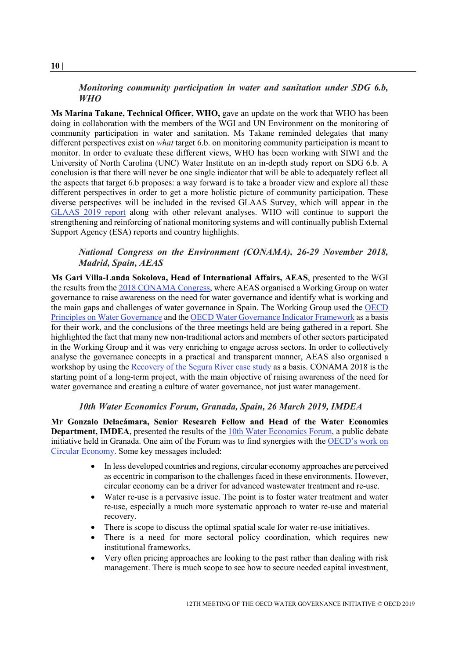# *Monitoring community participation in water and sanitation under SDG 6.b, WHO*

<span id="page-9-0"></span>**Ms Marina Takane, Technical Officer, WHO,** gave an update on the work that WHO has been doing in collaboration with the members of the WGI and UN Environment on the monitoring of community participation in water and sanitation. Ms Takane reminded delegates that many different perspectives exist on *what* target 6.b. on monitoring community participation is meant to monitor. In order to evaluate these different views, WHO has been working with SIWI and the University of North Carolina (UNC) Water Institute on an in-depth study report on SDG 6.b. A conclusion is that there will never be one single indicator that will be able to adequately reflect all the aspects that target 6.b proposes: a way forward is to take a broader view and explore all these different perspectives in order to get a more holistic picture of community participation. These diverse perspectives will be included in the revised GLAAS Survey, which will appear in the [GLAAS 2019 report](https://www.who.int/water_sanitation_health/publications/glaas-report-2019/en/) along with other relevant analyses. WHO will continue to support the strengthening and reinforcing of national monitoring systems and will continually publish External Support Agency (ESA) reports and country highlights.

### <span id="page-9-1"></span>*National Congress on the Environment (CONAMA), 26-29 November 2018, Madrid, Spain, AEAS*

**Ms Gari Villa-Landa Sokolova, Head of International Affairs, AEAS**, presented to the WGI the results from the [2018 CONAMA Congress,](http://www.conama2018.org/web/index.php) where AEAS organised a Working Group on water governance to raise awareness on the need for water governance and identify what is working and the main gaps and challenges of water governance in Spain. The Working Group used the [OECD](https://www.oecd.org/governance/oecd-principles-on-water-governance.htm)  [Principles](https://www.oecd.org/governance/oecd-principles-on-water-governance.htm) on Water Governance and th[e OECD Water Governance Indicator Framework](https://www.oecd.org/regional/OECD-Water-Governance-Indicator-Framework.pdf) as a basis for their work, and the conclusions of the three meetings held are being gathered in a report. She highlighted the fact that many new non-traditional actors and members of other sectors participated in the Working Group and it was very enriching to engage across sectors. In order to collectively analyse the governance concepts in a practical and transparent manner, AEAS also organised a workshop by using the [Recovery of the Segura River case study](http://www.oecd.org/cfe/regional-policy/Water-Pilot-Test-9-Segura-Spain.pdf) as a basis. CONAMA 2018 is the starting point of a long-term project, with the main objective of raising awareness of the need for water governance and creating a culture of water governance, not just water management.

### *10th Water Economics Forum, Granada, Spain, 26 March 2019, IMDEA*

<span id="page-9-2"></span>**Mr Gonzalo Delacámara, Senior Research Fellow and Head of the Water Economics Department, IMDEA**, presented the results of the **10th Water Economics Forum**, a public debate initiative held in Granada. One aim of the Forum was to find synergies with the [OECD's work on](http://www.oecd.org/regional/regional-policy/circular-economy-cities.htm)  [Circular Economy.](http://www.oecd.org/regional/regional-policy/circular-economy-cities.htm) Some key messages included:

- In less developed countries and regions, circular economy approaches are perceived as eccentric in comparison to the challenges faced in these environments. However, circular economy can be a driver for advanced wastewater treatment and re-use.
- Water re-use is a pervasive issue. The point is to foster water treatment and water re-use, especially a much more systematic approach to water re-use and material recovery.
- There is scope to discuss the optimal spatial scale for water re-use initiatives.
- There is a need for more sectoral policy coordination, which requires new institutional frameworks.
- Very often pricing approaches are looking to the past rather than dealing with risk management. There is much scope to see how to secure needed capital investment,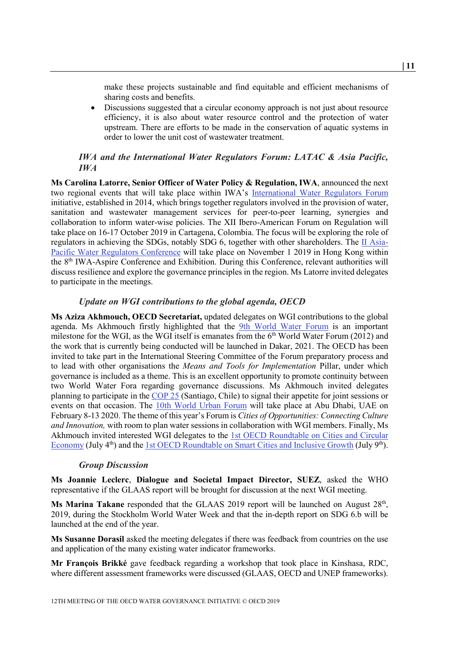make these projects sustainable and find equitable and efficient mechanisms of sharing costs and benefits.

• Discussions suggested that a circular economy approach is not just about resource efficiency, it is also about water resource control and the protection of water upstream. There are efforts to be made in the conservation of aquatic systems in order to lower the unit cost of wastewater treatment.

# <span id="page-10-0"></span>*IWA and the International Water Regulators Forum: LATAC & Asia Pacific, IWA*

**Ms Carolina Latorre, Senior Officer of Water Policy & Regulation, IWA**, announced the next two regional events that will take place within IWA's [International Water Regulators Forum](https://iwa-network.org/projects/water-policy-and-regulation/) initiative, established in 2014, which brings together regulators involved in the provision of water, sanitation and wastewater management services for peer-to-peer learning, synergies and collaboration to inform water-wise policies. The XII Ibero-American Forum on Regulation will take place on 16-17 October 2019 in Cartagena, Colombia. The focus will be exploring the role of regulators in achieving the SDGs, notably SDG 6, together with other shareholders. The  $II$  Asia-[Pacific Water Regulators Conference](https://www.iwaaspire2019.org/forums2.html) will take place on November 1 2019 in Hong Kong within the 8th IWA-Aspire Conference and Exhibition. During this Conference, relevant authorities will discuss resilience and explore the governance principles in the region. Ms Latorre invited delegates to participate in the meetings.

### *Update on WGI contributions to the global agenda, OECD*

<span id="page-10-1"></span>**Ms Aziza Akhmouch, OECD Secretariat,** updated delegates on WGI contributions to the global agenda. Ms Akhmouch firstly highlighted that the [9th World Water Forum](https://www.worldwaterforum.org/node/95) is an important milestone for the WGI, as the WGI itself is emanates from the  $6<sup>th</sup>$  World Water Forum (2012) and the work that is currently being conducted will be launched in Dakar, 2021. The OECD has been invited to take part in the International Steering Committee of the Forum preparatory process and to lead with other organisations the *Means and Tools for Implementation* Pillar, under which governance is included as a theme. This is an excellent opportunity to promote continuity between two World Water Fora regarding governance discussions. Ms Akhmouch invited delegates planning to participate in the [COP](https://unfccc.int/Santiago) 25 (Santiago, Chile) to signal their appetite for joint sessions or events on that occasion. The [10th World Urban Forum](http://wuf.unhabitat.org/) will take place at Abu Dhabi, UAE on February 8-13 2020. The theme of this year's Forum is *Cities of Opportunities: Connecting Culture and Innovation,* with room to plan water sessions in collaboration with WGI members. Finally, Ms Akhmouch invited interested WGI delegates to the [1st OECD Roundtable on Cities and Circular](https://www1.oecd.org/regional/regional-policy/roundtable-circular-economy.htm)  [Economy](https://www1.oecd.org/regional/regional-policy/roundtable-circular-economy.htm) (July 4<sup>th</sup>) and the [1st OECD Roundtable on Smart Cities and Inclusive Growth](http://www.oecd.org/cfe/regional-policy/oecd-roundtable-on-smart-cities-and-inclusive-growth.htm) (July 9<sup>th</sup>).

#### *Group Discussion*

<span id="page-10-2"></span>**Ms Joannie Leclerc**, **Dialogue and Societal Impact Director, SUEZ**, asked the WHO representative if the GLAAS report will be brought for discussion at the next WGI meeting.

**Ms Marina Takane** responded that the GLAAS 2019 report will be launched on August 28<sup>th</sup>, 2019, during the Stockholm World Water Week and that the in-depth report on SDG 6.b will be launched at the end of the year.

**Ms Susanne Dorasil** asked the meeting delegates if there was feedback from countries on the use and application of the many existing water indicator frameworks.

**Mr François Brikké** gave feedback regarding a workshop that took place in Kinshasa, RDC, where different assessment frameworks were discussed (GLAAS, OECD and UNEP frameworks).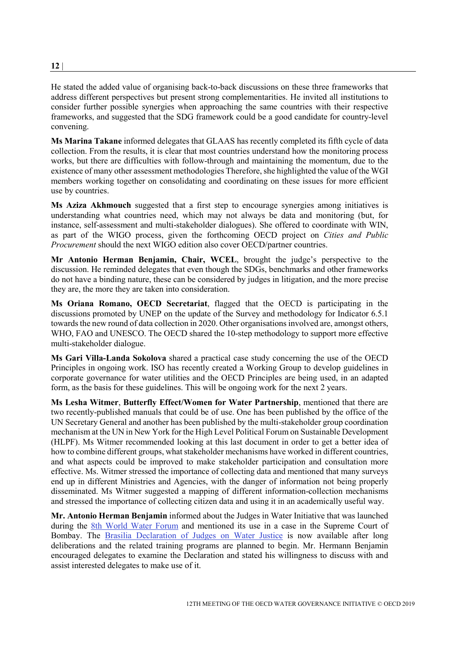He stated the added value of organising back-to-back discussions on these three frameworks that address different perspectives but present strong complementarities. He invited all institutions to consider further possible synergies when approaching the same countries with their respective frameworks, and suggested that the SDG framework could be a good candidate for country-level convening.

**Ms Marina Takane** informed delegates that GLAAS has recently completed its fifth cycle of data collection. From the results, it is clear that most countries understand how the monitoring process works, but there are difficulties with follow-through and maintaining the momentum, due to the existence of many other assessment methodologies Therefore, she highlighted the value of the WGI members working together on consolidating and coordinating on these issues for more efficient use by countries.

**Ms Aziza Akhmouch** suggested that a first step to encourage synergies among initiatives is understanding what countries need, which may not always be data and monitoring (but, for instance, self-assessment and multi-stakeholder dialogues). She offered to coordinate with WIN, as part of the WIGO process, given the forthcoming OECD project on *Cities and Public Procurement* should the next WIGO edition also cover OECD/partner countries.

**Mr Antonio Herman Benjamin, Chair, WCEL**, brought the judge's perspective to the discussion. He reminded delegates that even though the SDGs, benchmarks and other frameworks do not have a binding nature, these can be considered by judges in litigation, and the more precise they are, the more they are taken into consideration.

**Ms Oriana Romano, OECD Secretariat**, flagged that the OECD is participating in the discussions promoted by UNEP on the update of the Survey and methodology for Indicator 6.5.1 towards the new round of data collection in 2020. Other organisations involved are, amongst others, WHO, FAO and UNESCO. The OECD shared the 10-step methodology to support more effective multi-stakeholder dialogue.

**Ms Gari Villa-Landa Sokolova** shared a practical case study concerning the use of the OECD Principles in ongoing work. ISO has recently created a Working Group to develop guidelines in corporate governance for water utilities and the OECD Principles are being used, in an adapted form, as the basis for these guidelines. This will be ongoing work for the next 2 years.

**Ms Lesha Witmer**, **Butterfly Effect/Women for Water Partnership**, mentioned that there are two recently-published manuals that could be of use. One has been published by the office of the UN Secretary General and another has been published by the multi-stakeholder group coordination mechanism at the UN in New York for the High Level Political Forum on Sustainable Development (HLPF). Ms Witmer recommended looking at this last document in order to get a better idea of how to combine different groups, what stakeholder mechanisms have worked in different countries, and what aspects could be improved to make stakeholder participation and consultation more effective. Ms. Witmer stressed the importance of collecting data and mentioned that many surveys end up in different Ministries and Agencies, with the danger of information not being properly disseminated. Ms Witmer suggested a mapping of different information-collection mechanisms and stressed the importance of collecting citizen data and using it in an academically useful way.

**Mr. Antonio Herman Benjamin** informed about the Judges in Water Initiative that was launched during the [8th World Water Forum](http://8.worldwaterforum.org/en) and mentioned its use in a case in the Supreme Court of Bombay. The [Brasilia Declaration of Judges on Water Justice](https://www.iucn.org/sites/dev/files/content/documents/brasilia_declaration_of_judges_on_water_justice_21_march_2018_final_as_approved.pdf) is now available after long deliberations and the related training programs are planned to begin. Mr. Hermann Benjamin encouraged delegates to examine the Declaration and stated his willingness to discuss with and assist interested delegates to make use of it.

**12** |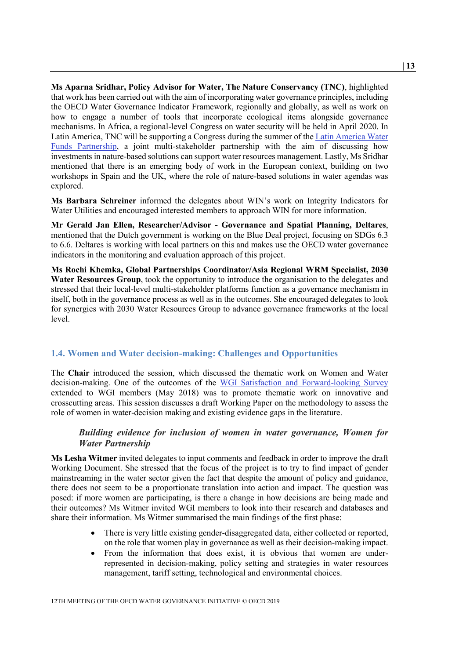**Ms Aparna Sridhar, Policy Advisor for Water, The Nature Conservancy (TNC)**, highlighted that work has been carried out with the aim of incorporating water governance principles, including the OECD Water Governance Indicator Framework, regionally and globally, as well as work on how to engage a number of tools that incorporate ecological items alongside governance mechanisms. In Africa, a regional-level Congress on water security will be held in April 2020. In Latin America, TNC will be supporting a Congress during the summer of the [Latin America Water](https://www.fondosdeagua.org/en/what-is-the-partnership/)  [Funds Partnership,](https://www.fondosdeagua.org/en/what-is-the-partnership/) a joint multi-stakeholder partnership with the aim of discussing how investments in nature-based solutions can support water resources management. Lastly, Ms Sridhar mentioned that there is an emerging body of work in the European context, building on two workshops in Spain and the UK, where the role of nature-based solutions in water agendas was explored.

**Ms Barbara Schreiner** informed the delegates about WIN's work on Integrity Indicators for Water Utilities and encouraged interested members to approach WIN for more information.

**Mr Gerald Jan Ellen, Researcher/Advisor - Governance and Spatial Planning, Deltares**, mentioned that the Dutch government is working on the Blue Deal project, focusing on SDGs 6.3 to 6.6. Deltares is working with local partners on this and makes use the OECD water governance indicators in the monitoring and evaluation approach of this project.

**Ms Rochi Khemka, Global Partnerships Coordinator/Asia Regional WRM Specialist, 2030 Water Resources Group**, took the opportunity to introduce the organisation to the delegates and stressed that their local-level multi-stakeholder platforms function as a governance mechanism in itself, both in the governance process as well as in the outcomes. She encouraged delegates to look for synergies with 2030 Water Resources Group to advance governance frameworks at the local level.

#### <span id="page-12-0"></span>**1.4. Women and Water decision-making: Challenges and Opportunities**

The **Chair** introduced the session, which discussed the thematic work on Women and Water decision-making. One of the outcomes of the [WGI Satisfaction and Forward-looking Survey](http://www.oecd.org/cfe/regional-policy/WGI_Survey-synthesis-2015-2018.pdf) extended to WGI members (May 2018) was to promote thematic work on innovative and crosscutting areas. This session discusses a draft Working Paper on the methodology to assess the role of women in water-decision making and existing evidence gaps in the literature.

# <span id="page-12-1"></span>*Building evidence for inclusion of women in water governance, Women for Water Partnership*

**Ms Lesha Witmer** invited delegates to input comments and feedback in order to improve the draft Working Document. She stressed that the focus of the project is to try to find impact of gender mainstreaming in the water sector given the fact that despite the amount of policy and guidance, there does not seem to be a proportionate translation into action and impact. The question was posed: if more women are participating, is there a change in how decisions are being made and their outcomes? Ms Witmer invited WGI members to look into their research and databases and share their information. Ms Witmer summarised the main findings of the first phase:

- There is very little existing gender-disaggregated data, either collected or reported, on the role that women play in governance as well as their decision-making impact.
- From the information that does exist, it is obvious that women are underrepresented in decision-making, policy setting and strategies in water resources management, tariff setting, technological and environmental choices.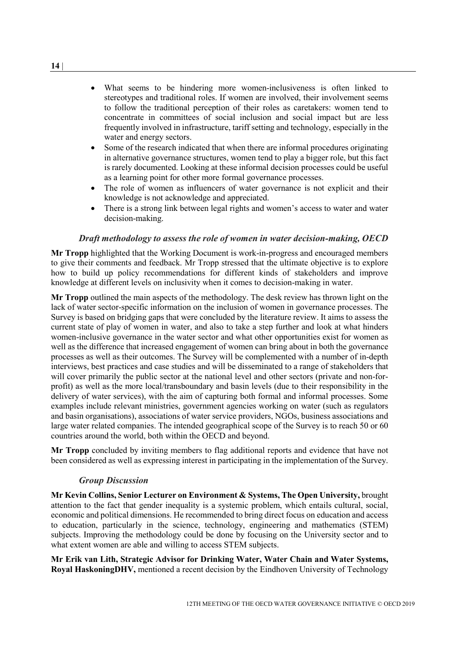- What seems to be hindering more women-inclusiveness is often linked to stereotypes and traditional roles. If women are involved, their involvement seems to follow the traditional perception of their roles as caretakers: women tend to concentrate in committees of social inclusion and social impact but are less frequently involved in infrastructure, tariff setting and technology, especially in the water and energy sectors.
- Some of the research indicated that when there are informal procedures originating in alternative governance structures, women tend to play a bigger role, but this fact is rarely documented. Looking at these informal decision processes could be useful as a learning point for other more formal governance processes.
- The role of women as influencers of water governance is not explicit and their knowledge is not acknowledge and appreciated.
- There is a strong link between legal rights and women's access to water and water decision-making.

#### *Draft methodology to assess the role of women in water decision-making, OECD*

<span id="page-13-0"></span>**Mr Tropp** highlighted that the Working Document is work-in-progress and encouraged members to give their comments and feedback. Mr Tropp stressed that the ultimate objective is to explore how to build up policy recommendations for different kinds of stakeholders and improve knowledge at different levels on inclusivity when it comes to decision-making in water.

**Mr Tropp** outlined the main aspects of the methodology. The desk review has thrown light on the lack of water sector-specific information on the inclusion of women in governance processes. The Survey is based on bridging gaps that were concluded by the literature review. It aims to assess the current state of play of women in water, and also to take a step further and look at what hinders women-inclusive governance in the water sector and what other opportunities exist for women as well as the difference that increased engagement of women can bring about in both the governance processes as well as their outcomes. The Survey will be complemented with a number of in-depth interviews, best practices and case studies and will be disseminated to a range of stakeholders that will cover primarily the public sector at the national level and other sectors (private and non-forprofit) as well as the more local/transboundary and basin levels (due to their responsibility in the delivery of water services), with the aim of capturing both formal and informal processes. Some examples include relevant ministries, government agencies working on water (such as regulators and basin organisations), associations of water service providers, NGOs, business associations and large water related companies. The intended geographical scope of the Survey is to reach 50 or 60 countries around the world, both within the OECD and beyond.

**Mr Tropp** concluded by inviting members to flag additional reports and evidence that have not been considered as well as expressing interest in participating in the implementation of the Survey.

#### *Group Discussion*

<span id="page-13-1"></span>**Mr Kevin Collins, Senior Lecturer on Environment & Systems, The Open University,** brought attention to the fact that gender inequality is a systemic problem, which entails cultural, social, economic and political dimensions. He recommended to bring direct focus on education and access to education, particularly in the science, technology, engineering and mathematics (STEM) subjects. Improving the methodology could be done by focusing on the University sector and to what extent women are able and willing to access STEM subjects.

**Mr Erik van Lith, Strategic Advisor for Drinking Water, Water Chain and Water Systems, Royal HaskoningDHV,** mentioned a recent decision by the Eindhoven University of Technology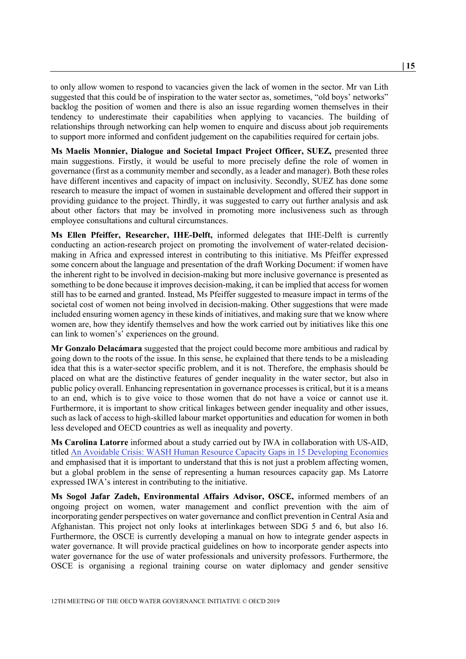to only allow women to respond to vacancies given the lack of women in the sector. Mr van Lith suggested that this could be of inspiration to the water sector as, sometimes, "old boys' networks" backlog the position of women and there is also an issue regarding women themselves in their tendency to underestimate their capabilities when applying to vacancies. The building of relationships through networking can help women to enquire and discuss about job requirements to support more informed and confident judgement on the capabilities required for certain jobs.

**Ms Maelis Monnier, Dialogue and Societal Impact Project Officer, SUEZ,** presented three main suggestions. Firstly, it would be useful to more precisely define the role of women in governance (first as a community member and secondly, as a leader and manager). Both these roles have different incentives and capacity of impact on inclusivity. Secondly, SUEZ has done some research to measure the impact of women in sustainable development and offered their support in providing guidance to the project. Thirdly, it was suggested to carry out further analysis and ask about other factors that may be involved in promoting more inclusiveness such as through employee consultations and cultural circumstances.

**Ms Ellen Pfeiffer, Researcher, IHE-Delft,** informed delegates that IHE-Delft is currently conducting an action-research project on promoting the involvement of water-related decisionmaking in Africa and expressed interest in contributing to this initiative. Ms Pfeiffer expressed some concern about the language and presentation of the draft Working Document: if women have the inherent right to be involved in decision-making but more inclusive governance is presented as something to be done because it improves decision-making, it can be implied that access for women still has to be earned and granted. Instead, Ms Pfeiffer suggested to measure impact in terms of the societal cost of women not being involved in decision-making. Other suggestions that were made included ensuring women agency in these kinds of initiatives, and making sure that we know where women are, how they identify themselves and how the work carried out by initiatives like this one can link to women's' experiences on the ground.

**Mr Gonzalo Delacámara** suggested that the project could become more ambitious and radical by going down to the roots of the issue. In this sense, he explained that there tends to be a misleading idea that this is a water-sector specific problem, and it is not. Therefore, the emphasis should be placed on what are the distinctive features of gender inequality in the water sector, but also in public policy overall. Enhancing representation in governance processesis critical, but it is a means to an end, which is to give voice to those women that do not have a voice or cannot use it. Furthermore, it is important to show critical linkages between gender inequality and other issues, such as lack of access to high-skilled labour market opportunities and education for women in both less developed and OECD countries as well as inequality and poverty.

**Ms Carolina Latorre** informed about a study carried out by IWA in collaboration with US-AID, titled [An Avoidable Crisis: WASH Human Resource Capacity Gaps in 15 Developing Economies](https://iwa-network.org/wp-content/uploads/2016/03/1422745887-an-avoidable-crisis-wash-gaps.pdf) and emphasised that it is important to understand that this is not just a problem affecting women, but a global problem in the sense of representing a human resources capacity gap. Ms Latorre expressed IWA's interest in contributing to the initiative.

**Ms Sogol Jafar Zadeh, Environmental Affairs Advisor, OSCE,** informed members of an ongoing project on women, water management and conflict prevention with the aim of incorporating gender perspectives on water governance and conflict prevention in Central Asia and Afghanistan. This project not only looks at interlinkages between SDG 5 and 6, but also 16. Furthermore, the OSCE is currently developing a manual on how to integrate gender aspects in water governance. It will provide practical guidelines on how to incorporate gender aspects into water governance for the use of water professionals and university professors. Furthermore, the OSCE is organising a regional training course on water diplomacy and gender sensitive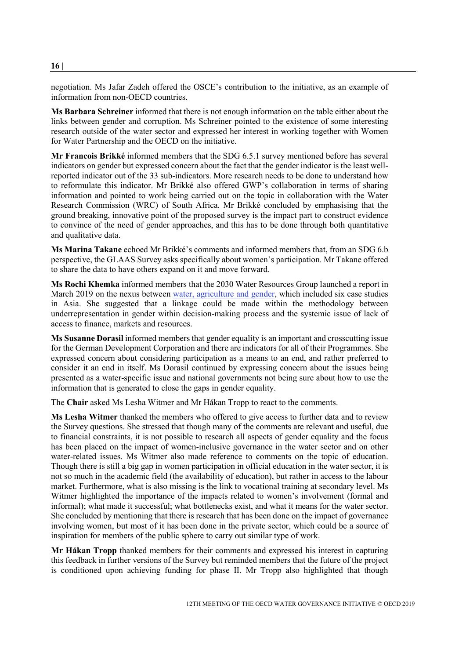negotiation. Ms Jafar Zadeh offered the OSCE's contribution to the initiative, as an example of information from non-OECD countries.

**Ms Barbara Schreiner** informed that there is not enough information on the table either about the links between gender and corruption. Ms Schreiner pointed to the existence of some interesting research outside of the water sector and expressed her interest in working together with Women for Water Partnership and the OECD on the initiative.

**Mr Francois Brikké** informed members that the SDG 6.5.1 survey mentioned before has several indicators on gender but expressed concern about the fact that the gender indicator is the least wellreported indicator out of the 33 sub-indicators. More research needs to be done to understand how to reformulate this indicator. Mr Brikké also offered GWP's collaboration in terms of sharing information and pointed to work being carried out on the topic in collaboration with the Water Research Commission (WRC) of South Africa. Mr Brikké concluded by emphasising that the ground breaking, innovative point of the proposed survey is the impact part to construct evidence to convince of the need of gender approaches, and this has to be done through both quantitative and qualitative data.

**Ms Marina Takane** echoed Mr Brikké's comments and informed members that, from an SDG 6.b perspective, the GLAAS Survey asks specifically about women's participation. Mr Takane offered to share the data to have others expand on it and move forward.

**Ms Rochi Khemka** informed members that the 2030 Water Resources Group launched a report in March 2019 on the nexus between [water, agriculture and gender,](https://www.undp.org/content/dam/india/docs/Inclusive%20Growth/Gender-Water-Agriculture-Report_Final.pdf) which included six case studies in Asia. She suggested that a linkage could be made within the methodology between underrepresentation in gender within decision-making process and the systemic issue of lack of access to finance, markets and resources.

**Ms Susanne Dorasil** informed members that gender equality is an important and crosscutting issue for the German Development Corporation and there are indicators for all of their Programmes. She expressed concern about considering participation as a means to an end, and rather preferred to consider it an end in itself. Ms Dorasil continued by expressing concern about the issues being presented as a water-specific issue and national governments not being sure about how to use the information that is generated to close the gaps in gender equality.

The **Chair** asked Ms Lesha Witmer and Mr Håkan Tropp to react to the comments.

**Ms Lesha Witmer** thanked the members who offered to give access to further data and to review the Survey questions. She stressed that though many of the comments are relevant and useful, due to financial constraints, it is not possible to research all aspects of gender equality and the focus has been placed on the impact of women-inclusive governance in the water sector and on other water-related issues. Ms Witmer also made reference to comments on the topic of education. Though there is still a big gap in women participation in official education in the water sector, it is not so much in the academic field (the availability of education), but rather in access to the labour market. Furthermore, what is also missing is the link to vocational training at secondary level. Ms Witmer highlighted the importance of the impacts related to women's involvement (formal and informal); what made it successful; what bottlenecks exist, and what it means for the water sector. She concluded by mentioning that there is research that has been done on the impact of governance involving women, but most of it has been done in the private sector, which could be a source of inspiration for members of the public sphere to carry out similar type of work.

**Mr Håkan Tropp** thanked members for their comments and expressed his interest in capturing this feedback in further versions of the Survey but reminded members that the future of the project is conditioned upon achieving funding for phase II. Mr Tropp also highlighted that though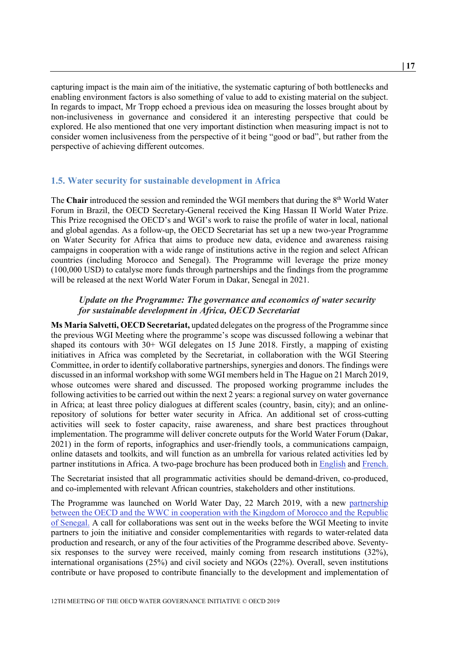capturing impact is the main aim of the initiative, the systematic capturing of both bottlenecks and enabling environment factors is also something of value to add to existing material on the subject. In regards to impact, Mr Tropp echoed a previous idea on measuring the losses brought about by non-inclusiveness in governance and considered it an interesting perspective that could be explored. He also mentioned that one very important distinction when measuring impact is not to consider women inclusiveness from the perspective of it being "good or bad", but rather from the perspective of achieving different outcomes.

#### <span id="page-16-0"></span>**1.5. Water security for sustainable development in Africa**

The **Chair** introduced the session and reminded the WGI members that during the 8<sup>th</sup> World Water Forum in Brazil, the OECD Secretary-General received the King Hassan II World Water Prize. This Prize recognised the OECD's and WGI's work to raise the profile of water in local, national and global agendas. As a follow-up, the OECD Secretariat has set up a new two-year Programme on Water Security for Africa that aims to produce new data, evidence and awareness raising campaigns in cooperation with a wide range of institutions active in the region and select African countries (including Morocco and Senegal). The Programme will leverage the prize money (100,000 USD) to catalyse more funds through partnerships and the findings from the programme will be released at the next World Water Forum in Dakar, Senegal in 2021.

#### <span id="page-16-1"></span>*Update on the Programme: The governance and economics of water security for sustainable development in Africa, OECD Secretariat*

**Ms Maria Salvetti, OECD Secretariat,** updated delegates on the progress of the Programme since the previous WGI Meeting where the programme's scope was discussed following a webinar that shaped its contours with 30+ WGI delegates on 15 June 2018. Firstly, a mapping of existing initiatives in Africa was completed by the Secretariat, in collaboration with the WGI Steering Committee, in order to identify collaborative partnerships, synergies and donors. The findings were discussed in an informal workshop with some WGI members held in The Hague on 21 March 2019, whose outcomes were shared and discussed. The proposed working programme includes the following activities to be carried out within the next 2 years: a regional survey on water governance in Africa; at least three policy dialogues at different scales (country, basin, city); and an onlinerepository of solutions for better water security in Africa. An additional set of cross-cutting activities will seek to foster capacity, raise awareness, and share best practices throughout implementation. The programme will deliver concrete outputs for the World Water Forum (Dakar, 2021) in the form of reports, infographics and user-friendly tools, a communications campaign, online datasets and toolkits, and will function as an umbrella for various related activities led by partner institutions in Africa. A two-page brochure has been produced both in [English](https://www.oecd.org/cfe/Prize-Brochure-WG.pdf) and [French.](https://www.oecd.org/cfe/Water-security-Africa-fr.pdf)

The Secretariat insisted that all programmatic activities should be demand-driven, co-produced, and co-implemented with relevant African countries, stakeholders and other institutions.

The Programme was launched on World Water Day, 22 March 2019, with a new [partnership](https://www.oecd.org/cfe/oecd-wwc-partnership-africa.htm)  between the OECD and the WWC in cooperation with the Kingdom of Morocco and the Republic of [Senegal.](https://www.oecd.org/cfe/oecd-wwc-partnership-africa.htm) A call for collaborations was sent out in the weeks before the WGI Meeting to invite partners to join the initiative and consider complementarities with regards to water-related data production and research, or any of the four activities of the Programme described above. Seventysix responses to the survey were received, mainly coming from research institutions (32%), international organisations (25%) and civil society and NGOs (22%). Overall, seven institutions contribute or have proposed to contribute financially to the development and implementation of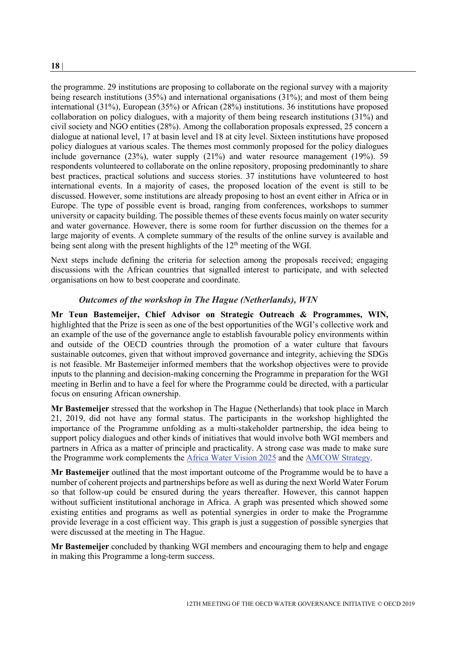the programme. 29 institutions are proposing to collaborate on the regional survey with a majority being research institutions (35%) and international organisations (31%); and most of them being international (31%), European (35%) or African (28%) institutions. 36 institutions have proposed collaboration on policy dialogues, with a majority of them being research institutions  $(31\%)$  and civil society and NGO entities (28%). Among the collaboration proposals expressed, 25 concern a dialogue at national level, 17 at basin level and 18 at city level. Sixteen institutions have proposed policy dialogues at various scales. The themes most commonly proposed for the policy dialogues include governance (23%), water supply (21%) and water resource management (19%). 59 respondents volunteered to collaborate on the online repository, proposing predominantly to share best practices, practical solutions and success stories. 37 institutions have volunteered to host international events. In a majority of cases, the proposed location of the event is still to be discussed. However, some institutions are already proposing to host an event either in Africa or in Europe. The type of possible event is broad, ranging from conferences, workshops to summer university or capacity building. The possible themes of these events focus mainly on water security and water governance. However, there is some room for further discussion on the themes for a large majority of events. A complete summary of the results of the online survey is available and being sent along with the present highlights of the  $12<sup>th</sup>$  meeting of the WGI.

Next steps include defining the criteria for selection among the proposals received; engaging discussions with the African countries that signalled interest to participate, and with selected organisations on how to best cooperate and coordinate.

#### *Outcomes of the workshop in The Hague (Netherlands), WIN*

<span id="page-17-0"></span>**Mr Teun Bastemeijer, Chief Advisor on Strategic Outreach & Programmes, WIN,** highlighted that the Prize is seen as one of the best opportunities of the WGI's collective work and an example of the use of the governance angle to establish favourable policy environments within and outside of the OECD countries through the promotion of a water culture that favours sustainable outcomes, given that without improved governance and integrity, achieving the SDGs is not feasible. Mr Bastemeijer informed members that the workshop objectives were to provide inputs to the planning and decision-making concerning the Programme in preparation for the WGI meeting in Berlin and to have a feel for where the Programme could be directed, with a particular focus on ensuring African ownership.

**Mr Bastemeijer** stressed that the workshop in The Hague (Netherlands) that took place in March 21, 2019, did not have any formal status. The participants in the workshop highlighted the importance of the Programme unfolding as a multi-stakeholder partnership, the idea being to support policy dialogues and other kinds of initiatives that would involve both WGI members and partners in Africa as a matter of principle and practicality. A strong case was made to make sure the Programme work complements the [Africa Water Vision 2025](https://www.afdb.org/fileadmin/uploads/afdb/Documents/Generic-Documents/african%20water%20vision%202025%20to%20be%20sent%20to%20wwf5.pdf) and the [AMCOW Strategy.](http://www.amcow-online.org/index.php?option=com_content&view=article&id=408&Itemid=195&lang=en)

**Mr Bastemeijer** outlined that the most important outcome of the Programme would be to have a number of coherent projects and partnerships before as well as during the next World Water Forum so that follow-up could be ensured during the years thereafter. However, this cannot happen without sufficient institutional anchorage in Africa. A graph was presented which showed some existing entities and programs as well as potential synergies in order to make the Programme provide leverage in a cost efficient way. This graph is just a suggestion of possible synergies that were discussed at the meeting in The Hague.

**Mr Bastemeijer** concluded by thanking WGI members and encouraging them to help and engage in making this Programme a long-term success.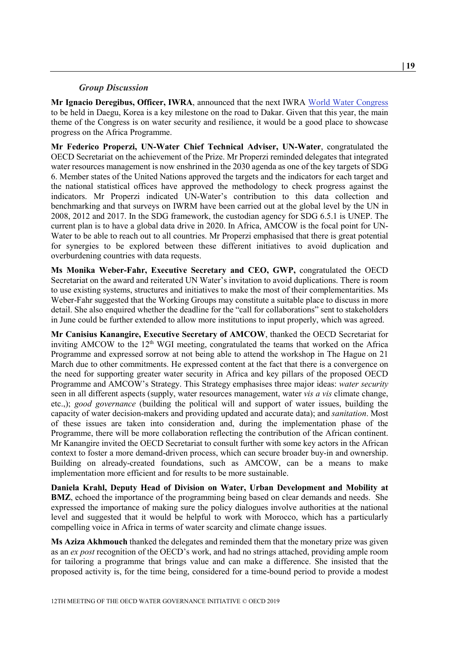#### *Group Discussion*

<span id="page-18-0"></span>**Mr Ignacio Deregibus, Officer, IWRA**, announced that the next IWRA [World Water Congress](https://www.worldwatercongress.com/) to be held in Daegu, Korea is a key milestone on the road to Dakar. Given that this year, the main theme of the Congress is on water security and resilience, it would be a good place to showcase progress on the Africa Programme.

**Mr Federico Properzi, UN-Water Chief Technical Adviser, UN-Water**, congratulated the OECD Secretariat on the achievement of the Prize. Mr Properzi reminded delegates that integrated water resources management is now enshrined in the 2030 agenda as one of the key targets of SDG 6. Member states of the United Nations approved the targets and the indicators for each target and the national statistical offices have approved the methodology to check progress against the indicators. Mr Properzi indicated UN-Water's contribution to this data collection and benchmarking and that surveys on IWRM have been carried out at the global level by the UN in 2008, 2012 and 2017. In the SDG framework, the custodian agency for SDG 6.5.1 is UNEP. The current plan is to have a global data drive in 2020. In Africa, AMCOW is the focal point for UN-Water to be able to reach out to all countries. Mr Properzi emphasised that there is great potential for synergies to be explored between these different initiatives to avoid duplication and overburdening countries with data requests.

**Ms Monika Weber-Fahr, Executive Secretary and CEO, GWP,** congratulated the OECD Secretariat on the award and reiterated UN Water's invitation to avoid duplications. There is room to use existing systems, structures and initiatives to make the most of their complementarities. Ms Weber-Fahr suggested that the Working Groups may constitute a suitable place to discuss in more detail. She also enquired whether the deadline for the "call for collaborations" sent to stakeholders in June could be further extended to allow more institutions to input properly, which was agreed.

**Mr Canisius Kanangire, Executive Secretary of AMCOW**, thanked the OECD Secretariat for inviting AMCOW to the  $12<sup>th</sup>$  WGI meeting, congratulated the teams that worked on the Africa Programme and expressed sorrow at not being able to attend the workshop in The Hague on 21 March due to other commitments. He expressed content at the fact that there is a convergence on the need for supporting greater water security in Africa and key pillars of the proposed OECD Programme and AMCOW's Strategy. This Strategy emphasises three major ideas: *water security* seen in all different aspects (supply, water resources management, water *vis a vis* climate change, etc.,); *good governance* (building the political will and support of water issues, building the capacity of water decision-makers and providing updated and accurate data); and *sanitation*. Most of these issues are taken into consideration and, during the implementation phase of the Programme, there will be more collaboration reflecting the contribution of the African continent. Mr Kanangire invited the OECD Secretariat to consult further with some key actors in the African context to foster a more demand-driven process, which can secure broader buy-in and ownership. Building on already-created foundations, such as AMCOW, can be a means to make implementation more efficient and for results to be more sustainable.

**Daniela Krahl, Deputy Head of Division on Water, Urban Development and Mobility at BMZ**, echoed the importance of the programming being based on clear demands and needs. She expressed the importance of making sure the policy dialogues involve authorities at the national level and suggested that it would be helpful to work with Morocco, which has a particularly compelling voice in Africa in terms of water scarcity and climate change issues.

**Ms Aziza Akhmouch** thanked the delegates and reminded them that the monetary prize was given as an *ex post* recognition of the OECD's work, and had no strings attached, providing ample room for tailoring a programme that brings value and can make a difference. She insisted that the proposed activity is, for the time being, considered for a time-bound period to provide a modest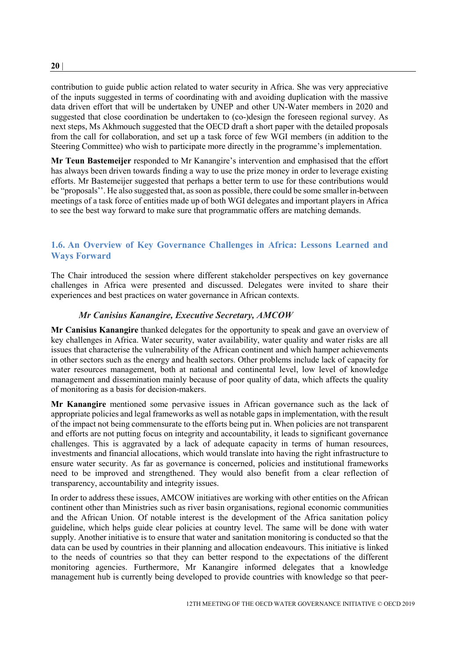contribution to guide public action related to water security in Africa. She was very appreciative of the inputs suggested in terms of coordinating with and avoiding duplication with the massive data driven effort that will be undertaken by UNEP and other UN-Water members in 2020 and suggested that close coordination be undertaken to (co-)design the foreseen regional survey. As next steps, Ms Akhmouch suggested that the OECD draft a short paper with the detailed proposals from the call for collaboration, and set up a task force of few WGI members (in addition to the Steering Committee) who wish to participate more directly in the programme's implementation.

**Mr Teun Bastemeijer** responded to Mr Kanangire's intervention and emphasised that the effort has always been driven towards finding a way to use the prize money in order to leverage existing efforts. Mr Bastemeijer suggested that perhaps a better term to use for these contributions would be "proposals''. He also suggested that, as soon as possible, there could be some smaller in-between meetings of a task force of entities made up of both WGI delegates and important players in Africa to see the best way forward to make sure that programmatic offers are matching demands.

# <span id="page-19-0"></span>**1.6. An Overview of Key Governance Challenges in Africa: Lessons Learned and Ways Forward**

The Chair introduced the session where different stakeholder perspectives on key governance challenges in Africa were presented and discussed. Delegates were invited to share their experiences and best practices on water governance in African contexts.

### *Mr Canisius Kanangire, Executive Secretary, AMCOW*

<span id="page-19-1"></span>**Mr Canisius Kanangire** thanked delegates for the opportunity to speak and gave an overview of key challenges in Africa. Water security, water availability, water quality and water risks are all issues that characterise the vulnerability of the African continent and which hamper achievements in other sectors such as the energy and health sectors. Other problems include lack of capacity for water resources management, both at national and continental level, low level of knowledge management and dissemination mainly because of poor quality of data, which affects the quality of monitoring as a basis for decision-makers.

**Mr Kanangire** mentioned some pervasive issues in African governance such as the lack of appropriate policies and legal frameworks as well as notable gaps in implementation, with the result of the impact not being commensurate to the efforts being put in. When policies are not transparent and efforts are not putting focus on integrity and accountability, it leads to significant governance challenges. This is aggravated by a lack of adequate capacity in terms of human resources, investments and financial allocations, which would translate into having the right infrastructure to ensure water security. As far as governance is concerned, policies and institutional frameworks need to be improved and strengthened. They would also benefit from a clear reflection of transparency, accountability and integrity issues.

In order to address these issues, AMCOW initiatives are working with other entities on the African continent other than Ministries such as river basin organisations, regional economic communities and the African Union. Of notable interest is the development of the Africa sanitation policy guideline, which helps guide clear policies at country level. The same will be done with water supply. Another initiative is to ensure that water and sanitation monitoring is conducted so that the data can be used by countries in their planning and allocation endeavours. This initiative is linked to the needs of countries so that they can better respond to the expectations of the different monitoring agencies. Furthermore, Mr Kanangire informed delegates that a knowledge management hub is currently being developed to provide countries with knowledge so that peer-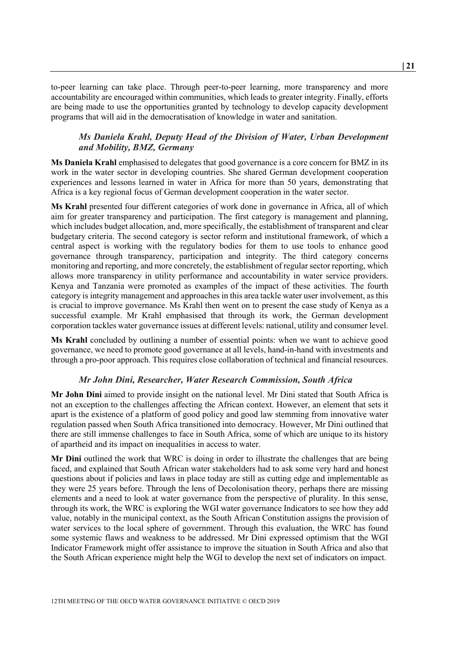to-peer learning can take place. Through peer-to-peer learning, more transparency and more accountability are encouraged within communities, which leads to greater integrity. Finally, efforts are being made to use the opportunities granted by technology to develop capacity development programs that will aid in the democratisation of knowledge in water and sanitation.

## <span id="page-20-0"></span>*Ms Daniela Krahl, Deputy Head of the Division of Water, Urban Development and Mobility, BMZ, Germany*

**Ms Daniela Krahl** emphasised to delegates that good governance is a core concern for BMZ in its work in the water sector in developing countries. She shared German development cooperation experiences and lessons learned in water in Africa for more than 50 years, demonstrating that Africa is a key regional focus of German development cooperation in the water sector.

**Ms Krahl** presented four different categories of work done in governance in Africa, all of which aim for greater transparency and participation. The first category is management and planning, which includes budget allocation, and, more specifically, the establishment of transparent and clear budgetary criteria. The second category is sector reform and institutional framework, of which a central aspect is working with the regulatory bodies for them to use tools to enhance good governance through transparency, participation and integrity. The third category concerns monitoring and reporting, and more concretely, the establishment of regular sector reporting, which allows more transparency in utility performance and accountability in water service providers. Kenya and Tanzania were promoted as examples of the impact of these activities. The fourth category is integrity management and approaches in this area tackle water user involvement, as this is crucial to improve governance. Ms Krahl then went on to present the case study of Kenya as a successful example. Mr Krahl emphasised that through its work, the German development corporation tackles water governance issues at different levels: national, utility and consumer level.

**Ms Krahl** concluded by outlining a number of essential points: when we want to achieve good governance, we need to promote good governance at all levels, hand-in-hand with investments and through a pro-poor approach. This requires close collaboration of technical and financial resources.

#### *Mr John Dini, Researcher, Water Research Commission, South Africa*

<span id="page-20-1"></span>**Mr John Dini** aimed to provide insight on the national level. Mr Dini stated that South Africa is not an exception to the challenges affecting the African context. However, an element that sets it apart is the existence of a platform of good policy and good law stemming from innovative water regulation passed when South Africa transitioned into democracy. However, Mr Dini outlined that there are still immense challenges to face in South Africa, some of which are unique to its history of apartheid and its impact on inequalities in access to water.

**Mr Dini** outlined the work that WRC is doing in order to illustrate the challenges that are being faced, and explained that South African water stakeholders had to ask some very hard and honest questions about if policies and laws in place today are still as cutting edge and implementable as they were 25 years before. Through the lens of Decolonisation theory, perhaps there are missing elements and a need to look at water governance from the perspective of plurality. In this sense, through its work, the WRC is exploring the WGI water governance Indicators to see how they add value, notably in the municipal context, as the South African Constitution assigns the provision of water services to the local sphere of government. Through this evaluation, the WRC has found some systemic flaws and weakness to be addressed. Mr Dini expressed optimism that the WGI Indicator Framework might offer assistance to improve the situation in South Africa and also that the South African experience might help the WGI to develop the next set of indicators on impact.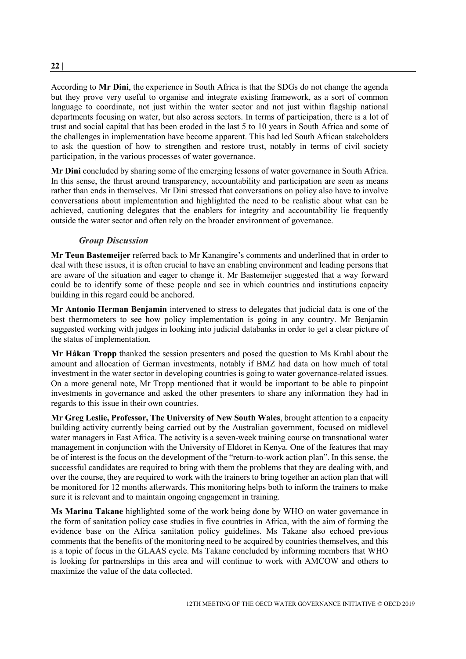According to **Mr Dini**, the experience in South Africa is that the SDGs do not change the agenda but they prove very useful to organise and integrate existing framework, as a sort of common language to coordinate, not just within the water sector and not just within flagship national departments focusing on water, but also across sectors. In terms of participation, there is a lot of trust and social capital that has been eroded in the last 5 to 10 years in South Africa and some of the challenges in implementation have become apparent. This had led South African stakeholders to ask the question of how to strengthen and restore trust, notably in terms of civil society participation, in the various processes of water governance.

**Mr Dini** concluded by sharing some of the emerging lessons of water governance in South Africa. In this sense, the thrust around transparency, accountability and participation are seen as means rather than ends in themselves. Mr Dini stressed that conversations on policy also have to involve conversations about implementation and highlighted the need to be realistic about what can be achieved, cautioning delegates that the enablers for integrity and accountability lie frequently outside the water sector and often rely on the broader environment of governance.

### *Group Discussion*

<span id="page-21-0"></span>**Mr Teun Bastemeijer** referred back to Mr Kanangire's comments and underlined that in order to deal with these issues, it is often crucial to have an enabling environment and leading persons that are aware of the situation and eager to change it. Mr Bastemeijer suggested that a way forward could be to identify some of these people and see in which countries and institutions capacity building in this regard could be anchored.

**Mr Antonio Herman Benjamin** intervened to stress to delegates that judicial data is one of the best thermometers to see how policy implementation is going in any country. Mr Benjamin suggested working with judges in looking into judicial databanks in order to get a clear picture of the status of implementation.

**Mr Håkan Tropp** thanked the session presenters and posed the question to Ms Krahl about the amount and allocation of German investments, notably if BMZ had data on how much of total investment in the water sector in developing countries is going to water governance-related issues. On a more general note, Mr Tropp mentioned that it would be important to be able to pinpoint investments in governance and asked the other presenters to share any information they had in regards to this issue in their own countries.

**Mr Greg Leslie, Professor, The University of New South Wales**, brought attention to a capacity building activity currently being carried out by the Australian government, focused on midlevel water managers in East Africa. The activity is a seven-week training course on transnational water management in conjunction with the University of Eldoret in Kenya. One of the features that may be of interest is the focus on the development of the "return-to-work action plan". In this sense, the successful candidates are required to bring with them the problems that they are dealing with, and over the course, they are required to work with the trainers to bring together an action plan that will be monitored for 12 months afterwards. This monitoring helps both to inform the trainers to make sure it is relevant and to maintain ongoing engagement in training.

**Ms Marina Takane** highlighted some of the work being done by WHO on water governance in the form of sanitation policy case studies in five countries in Africa, with the aim of forming the evidence base on the Africa sanitation policy guidelines. Ms Takane also echoed previous comments that the benefits of the monitoring need to be acquired by countries themselves, and this is a topic of focus in the GLAAS cycle. Ms Takane concluded by informing members that WHO is looking for partnerships in this area and will continue to work with AMCOW and others to maximize the value of the data collected.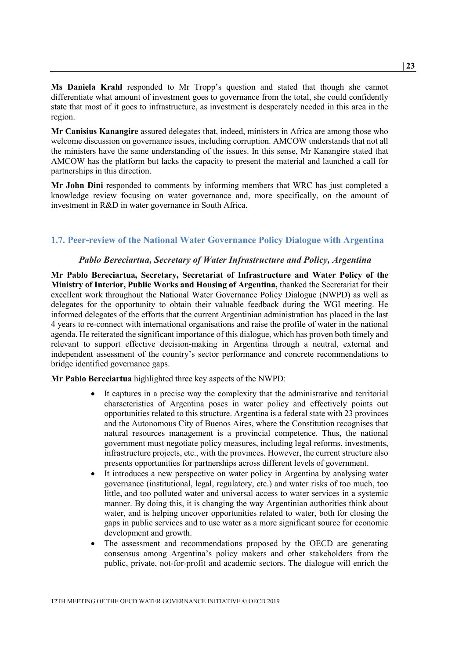**Ms Daniela Krahl** responded to Mr Tropp's question and stated that though she cannot differentiate what amount of investment goes to governance from the total, she could confidently state that most of it goes to infrastructure, as investment is desperately needed in this area in the region.

**Mr Canisius Kanangire** assured delegates that, indeed, ministers in Africa are among those who welcome discussion on governance issues, including corruption. AMCOW understands that not all the ministers have the same understanding of the issues. In this sense, Mr Kanangire stated that AMCOW has the platform but lacks the capacity to present the material and launched a call for partnerships in this direction.

**Mr John Dini** responded to comments by informing members that WRC has just completed a knowledge review focusing on water governance and, more specifically, on the amount of investment in R&D in water governance in South Africa.

### <span id="page-22-0"></span>**1.7. Peer-review of the National Water Governance Policy Dialogue with Argentina**

#### *Pablo Bereciartua, Secretary of Water Infrastructure and Policy, Argentina*

<span id="page-22-1"></span>**Mr Pablo Bereciartua, Secretary, Secretariat of Infrastructure and Water Policy of the Ministry of Interior, Public Works and Housing of Argentina,** thanked the Secretariat for their excellent work throughout the National Water Governance Policy Dialogue (NWPD) as well as delegates for the opportunity to obtain their valuable feedback during the WGI meeting. He informed delegates of the efforts that the current Argentinian administration has placed in the last 4 years to re-connect with international organisations and raise the profile of water in the national agenda. He reiterated the significant importance of this dialogue, which has proven both timely and relevant to support effective decision-making in Argentina through a neutral, external and independent assessment of the country's sector performance and concrete recommendations to bridge identified governance gaps.

**Mr Pablo Bereciartua** highlighted three key aspects of the NWPD:

- It captures in a precise way the complexity that the administrative and territorial characteristics of Argentina poses in water policy and effectively points out opportunities related to this structure. Argentina is a federal state with 23 provinces and the Autonomous City of Buenos Aires, where the Constitution recognises that natural resources management is a provincial competence. Thus, the national government must negotiate policy measures, including legal reforms, investments, infrastructure projects, etc., with the provinces. However, the current structure also presents opportunities for partnerships across different levels of government.
- It introduces a new perspective on water policy in Argentina by analysing water governance (institutional, legal, regulatory, etc.) and water risks of too much, too little, and too polluted water and universal access to water services in a systemic manner. By doing this, it is changing the way Argentinian authorities think about water, and is helping uncover opportunities related to water, both for closing the gaps in public services and to use water as a more significant source for economic development and growth.
- The assessment and recommendations proposed by the OECD are generating consensus among Argentina's policy makers and other stakeholders from the public, private, not-for-profit and academic sectors. The dialogue will enrich the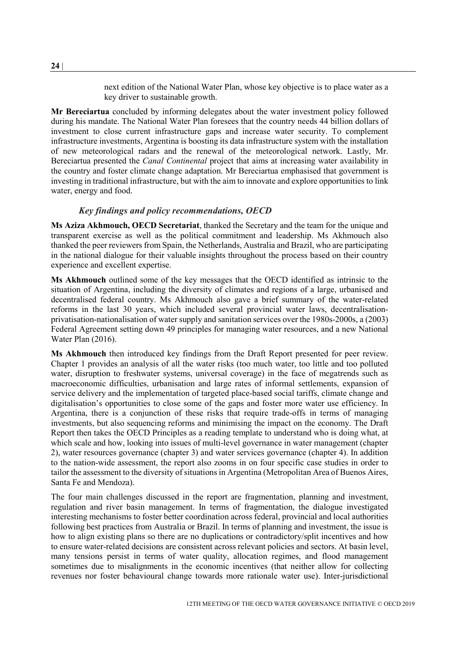next edition of the National Water Plan, whose key objective is to place water as a key driver to sustainable growth.

**Mr Bereciartua** concluded by informing delegates about the water investment policy followed during his mandate. The National Water Plan foresees that the country needs 44 billion dollars of investment to close current infrastructure gaps and increase water security. To complement infrastructure investments, Argentina is boosting its data infrastructure system with the installation of new meteorological radars and the renewal of the meteorological network. Lastly, Mr. Bereciartua presented the *Canal Continental* project that aims at increasing water availability in the country and foster climate change adaptation. Mr Bereciartua emphasised that government is investing in traditional infrastructure, but with the aim to innovate and explore opportunities to link water, energy and food.

#### *Key findings and policy recommendations, OECD*

<span id="page-23-0"></span>**Ms Aziza Akhmouch, OECD Secretariat**, thanked the Secretary and the team for the unique and transparent exercise as well as the political commitment and leadership. Ms Akhmouch also thanked the peer reviewers from Spain, the Netherlands, Australia and Brazil, who are participating in the national dialogue for their valuable insights throughout the process based on their country experience and excellent expertise.

**Ms Akhmouch** outlined some of the key messages that the OECD identified as intrinsic to the situation of Argentina, including the diversity of climates and regions of a large, urbanised and decentralised federal country. Ms Akhmouch also gave a brief summary of the water-related reforms in the last 30 years, which included several provincial water laws, decentralisationprivatisation-nationalisation of water supply and sanitation services over the 1980s-2000s, a (2003) Federal Agreement setting down 49 principles for managing water resources, and a new National Water Plan (2016).

**Ms Akhmouch** then introduced key findings from the Draft Report presented for peer review. Chapter 1 provides an analysis of all the water risks (too much water, too little and too polluted water, disruption to freshwater systems, universal coverage) in the face of megatrends such as macroeconomic difficulties, urbanisation and large rates of informal settlements, expansion of service delivery and the implementation of targeted place-based social tariffs, climate change and digitalisation's opportunities to close some of the gaps and foster more water use efficiency. In Argentina, there is a conjunction of these risks that require trade-offs in terms of managing investments, but also sequencing reforms and minimising the impact on the economy. The Draft Report then takes the OECD Principles as a reading template to understand who is doing what, at which scale and how, looking into issues of multi-level governance in water management (chapter 2), water resources governance (chapter 3) and water services governance (chapter 4). In addition to the nation-wide assessment, the report also zooms in on four specific case studies in order to tailor the assessment to the diversity of situations in Argentina (Metropolitan Area of Buenos Aires, Santa Fe and Mendoza).

The four main challenges discussed in the report are fragmentation, planning and investment, regulation and river basin management. In terms of fragmentation, the dialogue investigated interesting mechanisms to foster better coordination across federal, provincial and local authorities following best practices from Australia or Brazil. In terms of planning and investment, the issue is how to align existing plans so there are no duplications or contradictory/split incentives and how to ensure water-related decisions are consistent across relevant policies and sectors. At basin level, many tensions persist in terms of water quality, allocation regimes, and flood management sometimes due to misalignments in the economic incentives (that neither allow for collecting revenues nor foster behavioural change towards more rationale water use). Inter-jurisdictional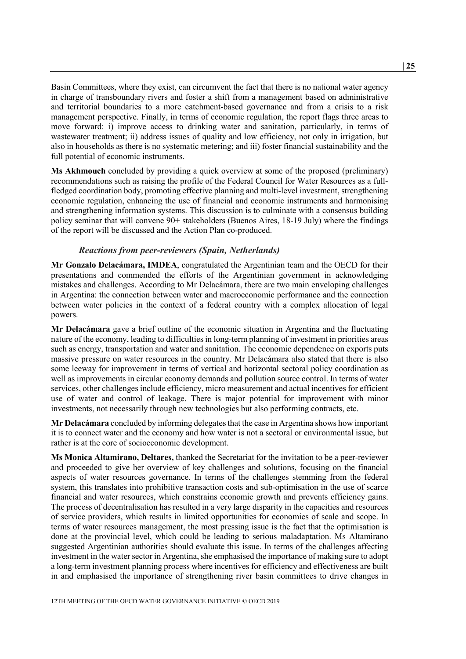Basin Committees, where they exist, can circumvent the fact that there is no national water agency in charge of transboundary rivers and foster a shift from a management based on administrative and territorial boundaries to a more catchment-based governance and from a crisis to a risk management perspective. Finally, in terms of economic regulation, the report flags three areas to move forward: i) improve access to drinking water and sanitation, particularly, in terms of wastewater treatment; ii) address issues of quality and low efficiency, not only in irrigation, but also in households as there is no systematic metering; and iii) foster financial sustainability and the full potential of economic instruments.

**Ms Akhmouch** concluded by providing a quick overview at some of the proposed (preliminary) recommendations such as raising the profile of the Federal Council for Water Resources as a fullfledged coordination body, promoting effective planning and multi-level investment, strengthening economic regulation, enhancing the use of financial and economic instruments and harmonising and strengthening information systems. This discussion is to culminate with a consensus building policy seminar that will convene 90+ stakeholders (Buenos Aires, 18-19 July) where the findings of the report will be discussed and the Action Plan co-produced.

#### *Reactions from peer-reviewers (Spain, Netherlands)*

<span id="page-24-0"></span>**Mr Gonzalo Delacámara, IMDEA**, congratulated the Argentinian team and the OECD for their presentations and commended the efforts of the Argentinian government in acknowledging mistakes and challenges. According to Mr Delacámara, there are two main enveloping challenges in Argentina: the connection between water and macroeconomic performance and the connection between water policies in the context of a federal country with a complex allocation of legal powers.

**Mr Delacámara** gave a brief outline of the economic situation in Argentina and the fluctuating nature of the economy, leading to difficulties in long-term planning of investment in priorities areas such as energy, transportation and water and sanitation. The economic dependence on exports puts massive pressure on water resources in the country. Mr Delacámara also stated that there is also some leeway for improvement in terms of vertical and horizontal sectoral policy coordination as well as improvements in circular economy demands and pollution source control. In terms of water services, other challenges include efficiency, micro measurement and actual incentives for efficient use of water and control of leakage. There is major potential for improvement with minor investments, not necessarily through new technologies but also performing contracts, etc.

**Mr Delacámara** concluded by informing delegates that the case in Argentina shows how important it is to connect water and the economy and how water is not a sectoral or environmental issue, but rather is at the core of socioeconomic development.

**Ms Monica Altamirano, Deltares,** thanked the Secretariat for the invitation to be a peer-reviewer and proceeded to give her overview of key challenges and solutions, focusing on the financial aspects of water resources governance. In terms of the challenges stemming from the federal system, this translates into prohibitive transaction costs and sub-optimisation in the use of scarce financial and water resources, which constrains economic growth and prevents efficiency gains. The process of decentralisation has resulted in a very large disparity in the capacities and resources of service providers, which results in limited opportunities for economies of scale and scope. In terms of water resources management, the most pressing issue is the fact that the optimisation is done at the provincial level, which could be leading to serious maladaptation. Ms Altamirano suggested Argentinian authorities should evaluate this issue. In terms of the challenges affecting investment in the water sector in Argentina, she emphasised the importance of making sure to adopt a long-term investment planning process where incentives for efficiency and effectiveness are built in and emphasised the importance of strengthening river basin committees to drive changes in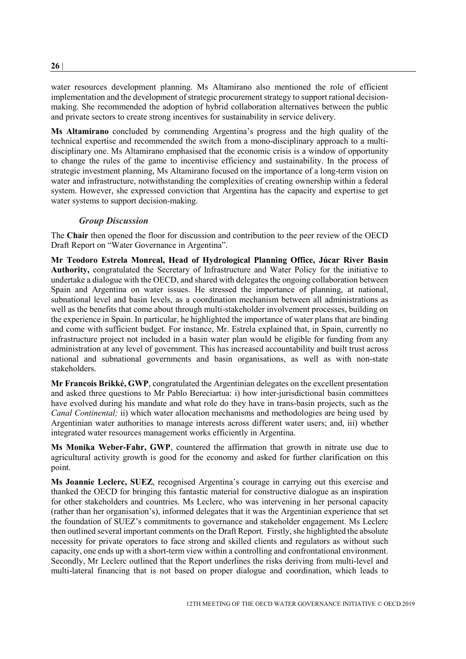water resources development planning. Ms Altamirano also mentioned the role of efficient implementation and the development of strategic procurement strategy to support rational decisionmaking. She recommended the adoption of hybrid collaboration alternatives between the public and private sectors to create strong incentives for sustainability in service delivery.

**Ms Altamirano** concluded by commending Argentina's progress and the high quality of the technical expertise and recommended the switch from a mono-disciplinary approach to a multidisciplinary one. Ms Altamirano emphasised that the economic crisis is a window of opportunity to change the rules of the game to incentivise efficiency and sustainability. In the process of strategic investment planning, Ms Altamirano focused on the importance of a long-term vision on water and infrastructure, notwithstanding the complexities of creating ownership within a federal system. However, she expressed conviction that Argentina has the capacity and expertise to get water systems to support decision-making.

### *Group Discussion*

<span id="page-25-0"></span>The **Chair** then opened the floor for discussion and contribution to the peer review of the OECD Draft Report on "Water Governance in Argentina".

**Mr Teodoro Estrela Monreal, Head of Hydrological Planning Office, Júcar River Basin Authority,** congratulated the Secretary of Infrastructure and Water Policy for the initiative to undertake a dialogue with the OECD, and shared with delegates the ongoing collaboration between Spain and Argentina on water issues. He stressed the importance of planning, at national, subnational level and basin levels, as a coordination mechanism between all administrations as well as the benefits that come about through multi-stakeholder involvement processes, building on the experience in Spain. In particular, he highlighted the importance of water plans that are binding and come with sufficient budget. For instance, Mr. Estrela explained that, in Spain, currently no infrastructure project not included in a basin water plan would be eligible for funding from any administration at any level of government. This has increased accountability and built trust across national and subnational governments and basin organisations, as well as with non-state stakeholders.

**Mr Francois Brikké, GWP**, congratulated the Argentinian delegates on the excellent presentation and asked three questions to Mr Pablo Bereciartua: i) how inter-jurisdictional basin committees have evolved during his mandate and what role do they have in trans-basin projects, such as the *Canal Continental;* ii) which water allocation mechanisms and methodologies are being used by Argentinian water authorities to manage interests across different water users; and, iii) whether integrated water resources management works efficiently in Argentina.

**Ms Monika Weber-Fahr, GWP**, countered the affirmation that growth in nitrate use due to agricultural activity growth is good for the economy and asked for further clarification on this point.

**Ms Joannie Leclerc, SUEZ**, recognised Argentina's courage in carrying out this exercise and thanked the OECD for bringing this fantastic material for constructive dialogue as an inspiration for other stakeholders and countries. Ms Leclerc, who was intervening in her personal capacity (rather than her organisation's), informed delegates that it was the Argentinian experience that set the foundation of SUEZ's commitments to governance and stakeholder engagement. Ms Leclerc then outlined several important comments on the Draft Report. Firstly, she highlighted the absolute necessity for private operators to face strong and skilled clients and regulators as without such capacity, one ends up with a short-term view within a controlling and confrontational environment. Secondly, Mr Leclerc outlined that the Report underlines the risks deriving from multi-level and multi-lateral financing that is not based on proper dialogue and coordination, which leads to

**26** |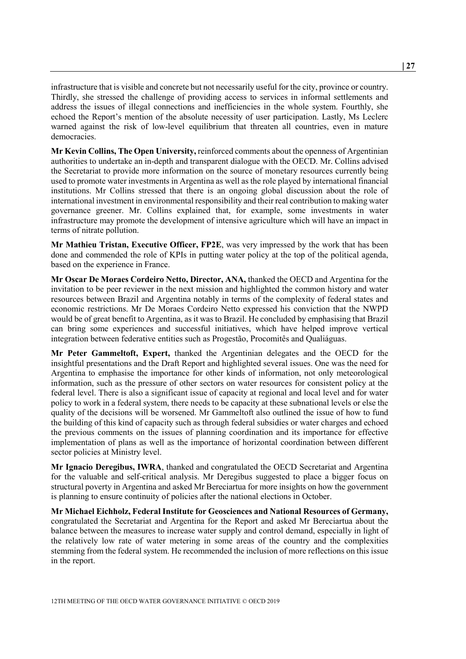infrastructure that is visible and concrete but not necessarily useful for the city, province or country. Thirdly, she stressed the challenge of providing access to services in informal settlements and address the issues of illegal connections and inefficiencies in the whole system. Fourthly, she echoed the Report's mention of the absolute necessity of user participation. Lastly, Ms Leclerc warned against the risk of low-level equilibrium that threaten all countries, even in mature democracies.

**Mr Kevin Collins, The Open University,** reinforced comments about the openness of Argentinian authorities to undertake an in-depth and transparent dialogue with the OECD. Mr. Collins advised the Secretariat to provide more information on the source of monetary resources currently being used to promote water investments in Argentina as well as the role played by international financial institutions. Mr Collins stressed that there is an ongoing global discussion about the role of international investment in environmental responsibility and their real contribution to making water governance greener. Mr. Collins explained that, for example, some investments in water infrastructure may promote the development of intensive agriculture which will have an impact in terms of nitrate pollution.

**Mr Mathieu Tristan, Executive Officer, FP2E**, was very impressed by the work that has been done and commended the role of KPIs in putting water policy at the top of the political agenda, based on the experience in France.

**Mr Oscar De Moraes Cordeiro Netto, Director, ANA,** thanked the OECD and Argentina for the invitation to be peer reviewer in the next mission and highlighted the common history and water resources between Brazil and Argentina notably in terms of the complexity of federal states and economic restrictions. Mr De Moraes Cordeiro Netto expressed his conviction that the NWPD would be of great benefit to Argentina, as it was to Brazil. He concluded by emphasising that Brazil can bring some experiences and successful initiatives, which have helped improve vertical integration between federative entities such as Progestão, Procomitês and Qualiáguas.

**Mr Peter Gammeltoft, Expert,** thanked the Argentinian delegates and the OECD for the insightful presentations and the Draft Report and highlighted several issues. One was the need for Argentina to emphasise the importance for other kinds of information, not only meteorological information, such as the pressure of other sectors on water resources for consistent policy at the federal level. There is also a significant issue of capacity at regional and local level and for water policy to work in a federal system, there needs to be capacity at these subnational levels or else the quality of the decisions will be worsened. Mr Gammeltoft also outlined the issue of how to fund the building of this kind of capacity such as through federal subsidies or water charges and echoed the previous comments on the issues of planning coordination and its importance for effective implementation of plans as well as the importance of horizontal coordination between different sector policies at Ministry level.

**Mr Ignacio Deregibus, IWRA**, thanked and congratulated the OECD Secretariat and Argentina for the valuable and self-critical analysis. Mr Deregibus suggested to place a bigger focus on structural poverty in Argentina and asked Mr Bereciartua for more insights on how the government is planning to ensure continuity of policies after the national elections in October.

**Mr Michael Eichholz, Federal Institute for Geosciences and National Resources of Germany,**  congratulated the Secretariat and Argentina for the Report and asked Mr Bereciartua about the balance between the measures to increase water supply and control demand, especially in light of the relatively low rate of water metering in some areas of the country and the complexities stemming from the federal system. He recommended the inclusion of more reflections on this issue in the report.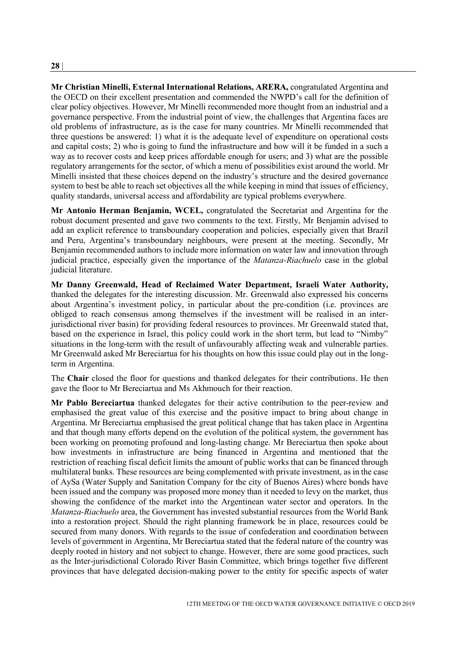**Mr Christian Minelli, External International Relations, ARERA,** congratulated Argentina and the OECD on their excellent presentation and commended the NWPD's call for the definition of clear policy objectives. However, Mr Minelli recommended more thought from an industrial and a governance perspective. From the industrial point of view, the challenges that Argentina faces are old problems of infrastructure, as is the case for many countries. Mr Minelli recommended that three questions be answered: 1) what it is the adequate level of expenditure on operational costs and capital costs; 2) who is going to fund the infrastructure and how will it be funded in a such a way as to recover costs and keep prices affordable enough for users; and 3) what are the possible regulatory arrangements for the sector, of which a menu of possibilities exist around the world. Mr Minelli insisted that these choices depend on the industry's structure and the desired governance system to best be able to reach set objectives all the while keeping in mind that issues of efficiency, quality standards, universal access and affordability are typical problems everywhere.

**Mr Antonio Herman Benjamin, WCEL,** congratulated the Secretariat and Argentina for the robust document presented and gave two comments to the text. Firstly, Mr Benjamin advised to add an explicit reference to transboundary cooperation and policies, especially given that Brazil and Peru, Argentina's transboundary neighbours, were present at the meeting. Secondly, Mr Benjamin recommended authors to include more information on water law and innovation through judicial practice, especially given the importance of the *Matanza-Riachuelo* case in the global judicial literature.

**Mr Danny Greenwald, Head of Reclaimed Water Department, Israeli Water Authority,** thanked the delegates for the interesting discussion. Mr. Greenwald also expressed his concerns about Argentina's investment policy, in particular about the pre-condition (i.e. provinces are obliged to reach consensus among themselves if the investment will be realised in an interjurisdictional river basin) for providing federal resources to provinces. Mr Greenwald stated that, based on the experience in Israel, this policy could work in the short term, but lead to "Nimby" situations in the long-term with the result of unfavourably affecting weak and vulnerable parties. Mr Greenwald asked Mr Bereciartua for his thoughts on how this issue could play out in the longterm in Argentina.

The **Chair** closed the floor for questions and thanked delegates for their contributions. He then gave the floor to Mr Bereciartua and Ms Akhmouch for their reaction.

**Mr Pablo Bereciartua** thanked delegates for their active contribution to the peer-review and emphasised the great value of this exercise and the positive impact to bring about change in Argentina. Mr Bereciartua emphasised the great political change that has taken place in Argentina and that though many efforts depend on the evolution of the political system, the government has been working on promoting profound and long-lasting change. Mr Bereciartua then spoke about how investments in infrastructure are being financed in Argentina and mentioned that the restriction of reaching fiscal deficit limits the amount of public works that can be financed through multilateral banks. These resources are being complemented with private investment, as in the case of AySa (Water Supply and Sanitation Company for the city of Buenos Aires) where bonds have been issued and the company was proposed more money than it needed to levy on the market, thus showing the confidence of the market into the Argentinean water sector and operators. In the *Matanza-Riachuelo* area, the Government has invested substantial resources from the World Bank into a restoration project. Should the right planning framework be in place, resources could be secured from many donors. With regards to the issue of confederation and coordination between levels of government in Argentina, Mr Bereciartua stated that the federal nature of the country was deeply rooted in history and not subject to change. However, there are some good practices, such as the Inter-jurisdictional Colorado River Basin Committee, which brings together five different provinces that have delegated decision-making power to the entity for specific aspects of water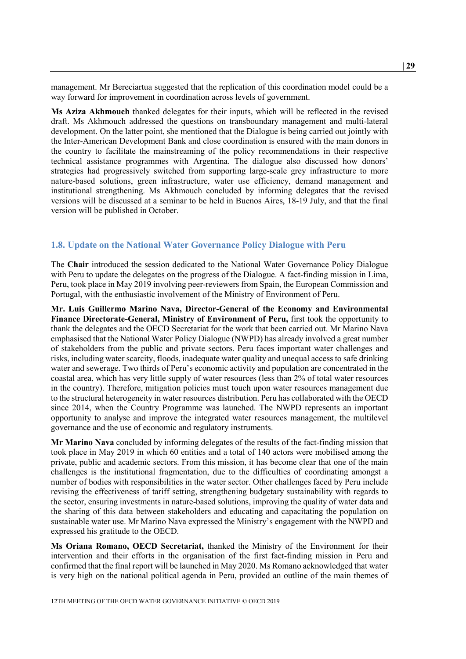management. Mr Bereciartua suggested that the replication of this coordination model could be a way forward for improvement in coordination across levels of government.

**Ms Aziza Akhmouch** thanked delegates for their inputs, which will be reflected in the revised draft. Ms Akhmouch addressed the questions on transboundary management and multi-lateral development. On the latter point, she mentioned that the Dialogue is being carried out jointly with the Inter-American Development Bank and close coordination is ensured with the main donors in the country to facilitate the mainstreaming of the policy recommendations in their respective technical assistance programmes with Argentina. The dialogue also discussed how donors' strategies had progressively switched from supporting large-scale grey infrastructure to more nature-based solutions, green infrastructure, water use efficiency, demand management and institutional strengthening. Ms Akhmouch concluded by informing delegates that the revised versions will be discussed at a seminar to be held in Buenos Aires, 18-19 July, and that the final version will be published in October.

### <span id="page-28-0"></span>**1.8. Update on the National Water Governance Policy Dialogue with Peru**

The **Chair** introduced the session dedicated to the National Water Governance Policy Dialogue with Peru to update the delegates on the progress of the Dialogue. A fact-finding mission in Lima, Peru, took place in May 2019 involving peer-reviewers from Spain, the European Commission and Portugal, with the enthusiastic involvement of the Ministry of Environment of Peru.

**Mr. Luis Guillermo Marino Nava, Director-General of the Economy and Environmental Finance Directorate-General, Ministry of Environment of Peru,** first took the opportunity to thank the delegates and the OECD Secretariat for the work that been carried out. Mr Marino Nava emphasised that the National Water Policy Dialogue (NWPD) has already involved a great number of stakeholders from the public and private sectors. Peru faces important water challenges and risks, including water scarcity, floods, inadequate water quality and unequal access to safe drinking water and sewerage. Two thirds of Peru's economic activity and population are concentrated in the coastal area, which has very little supply of water resources (less than 2% of total water resources in the country). Therefore, mitigation policies must touch upon water resources management due to the structural heterogeneity in water resources distribution. Peru has collaborated with the OECD since 2014, when the Country Programme was launched. The NWPD represents an important opportunity to analyse and improve the integrated water resources management, the multilevel governance and the use of economic and regulatory instruments.

**Mr Marino Nava** concluded by informing delegates of the results of the fact-finding mission that took place in May 2019 in which 60 entities and a total of 140 actors were mobilised among the private, public and academic sectors. From this mission, it has become clear that one of the main challenges is the institutional fragmentation, due to the difficulties of coordinating amongst a number of bodies with responsibilities in the water sector. Other challenges faced by Peru include revising the effectiveness of tariff setting, strengthening budgetary sustainability with regards to the sector, ensuring investments in nature-based solutions, improving the quality of water data and the sharing of this data between stakeholders and educating and capacitating the population on sustainable water use. Mr Marino Nava expressed the Ministry's engagement with the NWPD and expressed his gratitude to the OECD.

**Ms Oriana Romano, OECD Secretariat,** thanked the Ministry of the Environment for their intervention and their efforts in the organisation of the first fact-finding mission in Peru and confirmed that the final report will be launched in May 2020. Ms Romano acknowledged that water is very high on the national political agenda in Peru, provided an outline of the main themes of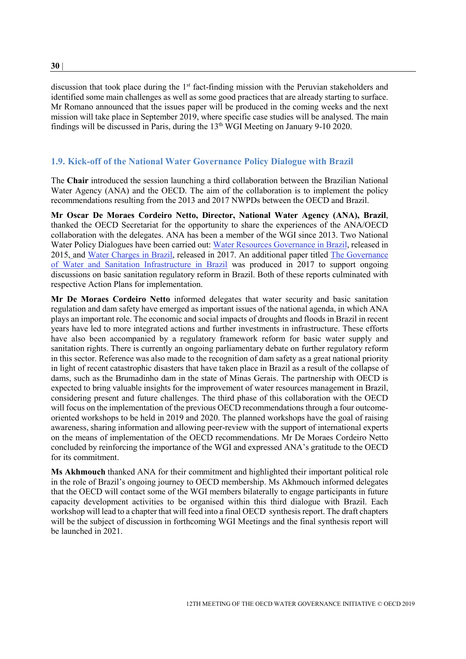discussion that took place during the  $1<sup>st</sup>$  fact-finding mission with the Peruvian stakeholders and identified some main challenges as well as some good practices that are already starting to surface. Mr Romano announced that the issues paper will be produced in the coming weeks and the next mission will take place in September 2019, where specific case studies will be analysed. The main findings will be discussed in Paris, during the  $13<sup>th</sup>$  WGI Meeting on January 9-10 2020.

### <span id="page-29-0"></span>**1.9. Kick-off of the National Water Governance Policy Dialogue with Brazil**

The **Chair** introduced the session launching a third collaboration between the Brazilian National Water Agency (ANA) and the OECD. The aim of the collaboration is to implement the policy recommendations resulting from the 2013 and 2017 NWPDs between the OECD and Brazil.

**Mr Oscar De Moraes Cordeiro Netto, Director, National Water Agency (ANA), Brazil**, thanked the OECD Secretariat for the opportunity to share the experiences of the ANA/OECD collaboration with the delegates. ANA has been a member of the WGI since 2013. Two National Water Policy Dialogues have been carried out: [Water Resources Governance in Brazil,](http://www.oecd.org/gov/water-resources-governance-in-brazil-9789264238121-en.htm) released in 2015, and [Water Charges in Brazil,](https://www.oecd.org/industry/water-charges-in-brazil-9789264285712-en.htm) released in 2017. An additional paper titled The Governance [of Water and Sanitation Infrastructure in Brazil](https://www.ana.gov.br/todos-os-documentos-do-portal/documentos-sas/arquivos-cobranca/documentos-relacionados-saneamento/governance-of-ws-infrastructure-in-brazil_final.pdf) was produced in 2017 to support ongoing discussions on basic sanitation regulatory reform in Brazil. Both of these reports culminated with respective Action Plans for implementation.

**Mr De Moraes Cordeiro Netto** informed delegates that water security and basic sanitation regulation and dam safety have emerged as important issues of the national agenda, in which ANA plays an important role. The economic and social impacts of droughts and floods in Brazil in recent years have led to more integrated actions and further investments in infrastructure. These efforts have also been accompanied by a regulatory framework reform for basic water supply and sanitation rights. There is currently an ongoing parliamentary debate on further regulatory reform in this sector. Reference was also made to the recognition of dam safety as a great national priority in light of recent catastrophic disasters that have taken place in Brazil as a result of the collapse of dams, such as the Brumadinho dam in the state of Minas Gerais. The partnership with OECD is expected to bring valuable insights for the improvement of water resources management in Brazil, considering present and future challenges. The third phase of this collaboration with the OECD will focus on the implementation of the previous OECD recommendations through a four outcomeoriented workshops to be held in 2019 and 2020. The planned workshops have the goal of raising awareness, sharing information and allowing peer-review with the support of international experts on the means of implementation of the OECD recommendations. Mr De Moraes Cordeiro Netto concluded by reinforcing the importance of the WGI and expressed ANA's gratitude to the OECD for its commitment.

**Ms Akhmouch** thanked ANA for their commitment and highlighted their important political role in the role of Brazil's ongoing journey to OECD membership. Ms Akhmouch informed delegates that the OECD will contact some of the WGI members bilaterally to engage participants in future capacity development activities to be organised within this third dialogue with Brazil. Each workshop will lead to a chapter that will feed into a final OECD synthesis report. The draft chapters will be the subject of discussion in forthcoming WGI Meetings and the final synthesis report will be launched in 2021.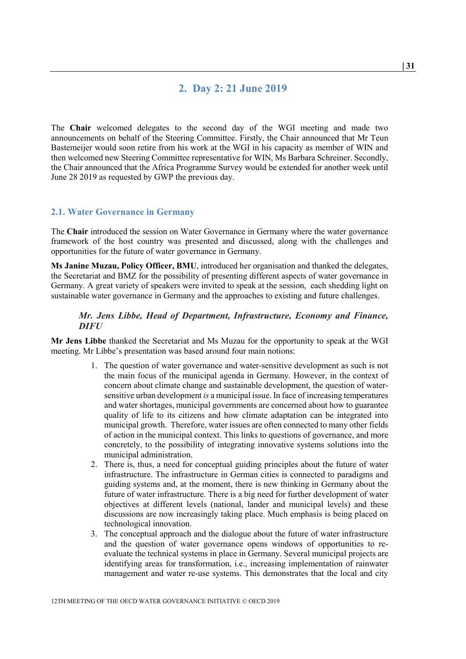# **2. Day 2: 21 June 2019**

<span id="page-30-0"></span>The **Chair** welcomed delegates to the second day of the WGI meeting and made two announcements on behalf of the Steering Committee. Firstly, the Chair announced that Mr Teun Bastemeijer would soon retire from his work at the WGI in his capacity as member of WIN and then welcomed new Steering Committee representative for WIN, Ms Barbara Schreiner. Secondly, the Chair announced that the Africa Programme Survey would be extended for another week until June 28 2019 as requested by GWP the previous day.

#### <span id="page-30-1"></span>**2.1. Water Governance in Germany**

The **Chair** introduced the session on Water Governance in Germany where the water governance framework of the host country was presented and discussed, along with the challenges and opportunities for the future of water governance in Germany.

**Ms Janine Muzau, Policy Officer, BMU**, introduced her organisation and thanked the delegates, the Secretariat and BMZ for the possibility of presenting different aspects of water governance in Germany. A great variety of speakers were invited to speak at the session, each shedding light on sustainable water governance in Germany and the approaches to existing and future challenges.

#### <span id="page-30-2"></span>*Mr. Jens Libbe, Head of Department, Infrastructure, Economy and Finance, DIFU*

**Mr Jens Libbe** thanked the Secretariat and Ms Muzau for the opportunity to speak at the WGI meeting. Mr Libbe's presentation was based around four main notions:

- 1. The question of water governance and water-sensitive development as such is not the main focus of the municipal agenda in Germany. However, in the context of concern about climate change and sustainable development, the question of watersensitive urban development *is* a municipal issue. In face of increasing temperatures and water shortages, municipal governments are concerned about how to guarantee quality of life to its citizens and how climate adaptation can be integrated into municipal growth. Therefore, water issues are often connected to many other fields of action in the municipal context. This links to questions of governance, and more concretely, to the possibility of integrating innovative systems solutions into the municipal administration.
- 2. There is, thus, a need for conceptual guiding principles about the future of water infrastructure. The infrastructure in German cities is connected to paradigms and guiding systems and, at the moment, there is new thinking in Germany about the future of water infrastructure. There is a big need for further development of water objectives at different levels (national, lander and municipal levels) and these discussions are now increasingly taking place. Much emphasis is being placed on technological innovation.
- 3. The conceptual approach and the dialogue about the future of water infrastructure and the question of water governance opens windows of opportunities to reevaluate the technical systems in place in Germany. Several municipal projects are identifying areas for transformation, i.e., increasing implementation of rainwater management and water re-use systems. This demonstrates that the local and city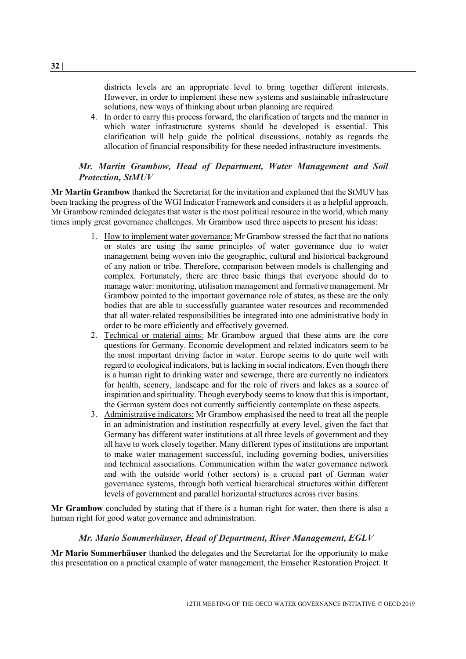districts levels are an appropriate level to bring together different interests. However, in order to implement these new systems and sustainable infrastructure solutions, new ways of thinking about urban planning are required.

4. In order to carry this process forward, the clarification of targets and the manner in which water infrastructure systems should be developed is essential. This clarification will help guide the political discussions, notably as regards the allocation of financial responsibility for these needed infrastructure investments.

## <span id="page-31-0"></span>*Mr. Martin Grambow, Head of Department, Water Management and Soil Protection, StMUV*

**Mr Martin Grambow** thanked the Secretariat for the invitation and explained that the StMUV has been tracking the progress of the WGI Indicator Framework and considers it as a helpful approach. Mr Grambow reminded delegates that water is the most political resource in the world, which many times imply great governance challenges. Mr Grambow used three aspects to present his ideas:

- 1. How to implement water governance: Mr Grambow stressed the fact that no nations or states are using the same principles of water governance due to water management being woven into the geographic, cultural and historical background of any nation or tribe. Therefore, comparison between models is challenging and complex. Fortunately, there are three basic things that everyone should do to manage water: monitoring, utilisation management and formative management. Mr Grambow pointed to the important governance role of states, as these are the only bodies that are able to successfully guarantee water resources and recommended that all water-related responsibilities be integrated into one administrative body in order to be more efficiently and effectively governed.
- 2. Technical or material aims: Mr Grambow argued that these aims are the core questions for Germany. Economic development and related indicators seem to be the most important driving factor in water. Europe seems to do quite well with regard to ecological indicators, but is lacking in social indicators. Even though there is a human right to drinking water and sewerage, there are currently no indicators for health, scenery, landscape and for the role of rivers and lakes as a source of inspiration and spirituality. Though everybody seems to know that this is important, the German system does not currently sufficiently contemplate on these aspects.
- 3. Administrative indicators: Mr Grambow emphasised the need to treat all the people in an administration and institution respectfully at every level, given the fact that Germany has different water institutions at all three levels of government and they all have to work closely together. Many different types of institutions are important to make water management successful, including governing bodies, universities and technical associations. Communication within the water governance network and with the outside world (other sectors) is a crucial part of German water governance systems, through both vertical hierarchical structures within different levels of government and parallel horizontal structures across river basins.

**Mr Grambow** concluded by stating that if there is a human right for water, then there is also a human right for good water governance and administration.

#### *Mr. Mario Sommerhäuser, Head of Department, River Management, EGLV*

<span id="page-31-1"></span>**Mr Mario Sommerhäuser** thanked the delegates and the Secretariat for the opportunity to make this presentation on a practical example of water management, the Emscher Restoration Project. It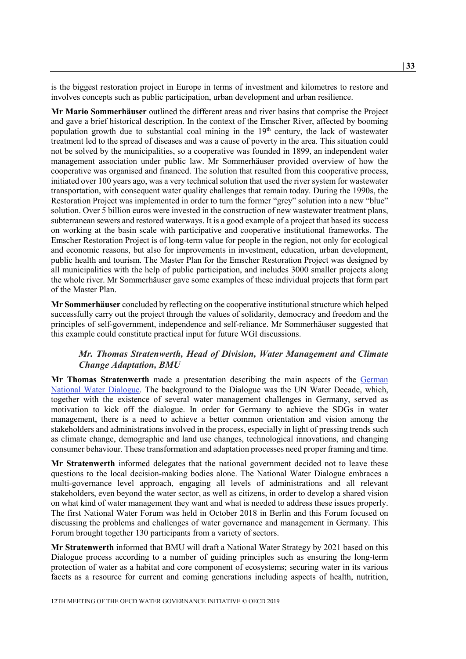is the biggest restoration project in Europe in terms of investment and kilometres to restore and involves concepts such as public participation, urban development and urban resilience.

**Mr Mario Sommerhäuser** outlined the different areas and river basins that comprise the Project and gave a brief historical description. In the context of the Emscher River, affected by booming population growth due to substantial coal mining in the 19<sup>th</sup> century, the lack of wastewater treatment led to the spread of diseases and was a cause of poverty in the area. This situation could not be solved by the municipalities, so a cooperative was founded in 1899, an independent water management association under public law. Mr Sommerhäuser provided overview of how the cooperative was organised and financed. The solution that resulted from this cooperative process, initiated over 100 years ago, was a very technical solution that used the river system for wastewater transportation, with consequent water quality challenges that remain today. During the 1990s, the Restoration Project was implemented in order to turn the former "grey" solution into a new "blue" solution. Over 5 billion euros were invested in the construction of new wastewater treatment plans, subterranean sewers and restored waterways. It is a good example of a project that based its success on working at the basin scale with participative and cooperative institutional frameworks. The Emscher Restoration Project is of long-term value for people in the region, not only for ecological and economic reasons, but also for improvements in investment, education, urban development, public health and tourism. The Master Plan for the Emscher Restoration Project was designed by all municipalities with the help of public participation, and includes 3000 smaller projects along the whole river. Mr Sommerhäuser gave some examples of these individual projects that form part of the Master Plan.

**Mr Sommerhäuser** concluded by reflecting on the cooperative institutional structure which helped successfully carry out the project through the values of solidarity, democracy and freedom and the principles of self-government, independence and self-reliance. Mr Sommerhäuser suggested that this example could constitute practical input for future WGI discussions.

### <span id="page-32-0"></span>*Mr. Thomas Stratenwerth, Head of Division, Water Management and Climate Change Adaptation, BMU*

**Mr Thomas Stratenwerth** made a presentation describing the main aspects of the German [National Water Dialogue.](https://www.bmu.de/wasserdialog/) The background to the Dialogue was the UN Water Decade, which, together with the existence of several water management challenges in Germany, served as motivation to kick off the dialogue. In order for Germany to achieve the SDGs in water management, there is a need to achieve a better common orientation and vision among the stakeholders and administrations involved in the process, especially in light of pressing trends such as climate change, demographic and land use changes, technological innovations, and changing consumer behaviour. These transformation and adaptation processes need proper framing and time.

**Mr Stratenwerth** informed delegates that the national government decided not to leave these questions to the local decision-making bodies alone. The National Water Dialogue embraces a multi-governance level approach, engaging all levels of administrations and all relevant stakeholders, even beyond the water sector, as well as citizens, in order to develop a shared vision on what kind of water management they want and what is needed to address these issues properly. The first National Water Forum was held in October 2018 in Berlin and this Forum focused on discussing the problems and challenges of water governance and management in Germany. This Forum brought together 130 participants from a variety of sectors.

**Mr Stratenwerth** informed that BMU will draft a National Water Strategy by 2021 based on this Dialogue process according to a number of guiding principles such as ensuring the long-term protection of water as a habitat and core component of ecosystems; securing water in its various facets as a resource for current and coming generations including aspects of health, nutrition,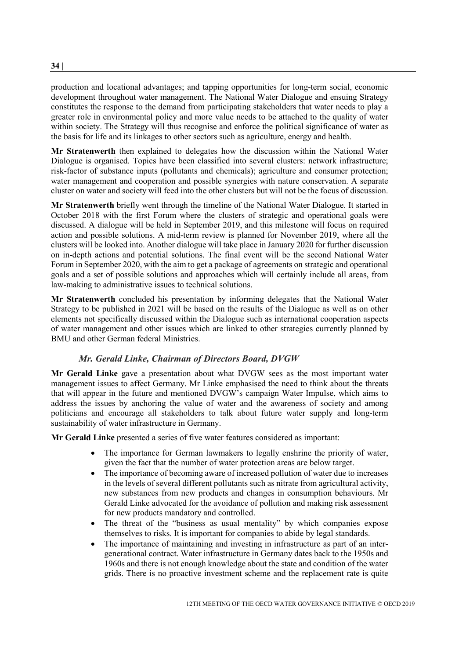production and locational advantages; and tapping opportunities for long-term social, economic development throughout water management. The National Water Dialogue and ensuing Strategy constitutes the response to the demand from participating stakeholders that water needs to play a greater role in environmental policy and more value needs to be attached to the quality of water within society. The Strategy will thus recognise and enforce the political significance of water as the basis for life and its linkages to other sectors such as agriculture, energy and health.

**Mr Stratenwerth** then explained to delegates how the discussion within the National Water Dialogue is organised. Topics have been classified into several clusters: network infrastructure; risk-factor of substance inputs (pollutants and chemicals); agriculture and consumer protection; water management and cooperation and possible synergies with nature conservation. A separate cluster on water and society will feed into the other clusters but will not be the focus of discussion.

**Mr Stratenwerth** briefly went through the timeline of the National Water Dialogue. It started in October 2018 with the first Forum where the clusters of strategic and operational goals were discussed. A dialogue will be held in September 2019, and this milestone will focus on required action and possible solutions. A mid-term review is planned for November 2019, where all the clusters will be looked into. Another dialogue will take place in January 2020 for further discussion on in-depth actions and potential solutions. The final event will be the second National Water Forum in September 2020, with the aim to get a package of agreements on strategic and operational goals and a set of possible solutions and approaches which will certainly include all areas, from law-making to administrative issues to technical solutions.

**Mr Stratenwerth** concluded his presentation by informing delegates that the National Water Strategy to be published in 2021 will be based on the results of the Dialogue as well as on other elements not specifically discussed within the Dialogue such as international cooperation aspects of water management and other issues which are linked to other strategies currently planned by BMU and other German federal Ministries.

# *Mr. Gerald Linke, Chairman of Directors Board, DVGW*

<span id="page-33-0"></span>**Mr Gerald Linke** gave a presentation about what DVGW sees as the most important water management issues to affect Germany. Mr Linke emphasised the need to think about the threats that will appear in the future and mentioned DVGW's campaign Water Impulse, which aims to address the issues by anchoring the value of water and the awareness of society and among politicians and encourage all stakeholders to talk about future water supply and long-term sustainability of water infrastructure in Germany.

**Mr Gerald Linke** presented a series of five water features considered as important:

- The importance for German lawmakers to legally enshrine the priority of water, given the fact that the number of water protection areas are below target.
- The importance of becoming aware of increased pollution of water due to increases in the levels of several different pollutants such as nitrate from agricultural activity, new substances from new products and changes in consumption behaviours. Mr Gerald Linke advocated for the avoidance of pollution and making risk assessment for new products mandatory and controlled.
- The threat of the "business as usual mentality" by which companies expose themselves to risks. It is important for companies to abide by legal standards.
- The importance of maintaining and investing in infrastructure as part of an intergenerational contract. Water infrastructure in Germany dates back to the 1950s and 1960s and there is not enough knowledge about the state and condition of the water grids. There is no proactive investment scheme and the replacement rate is quite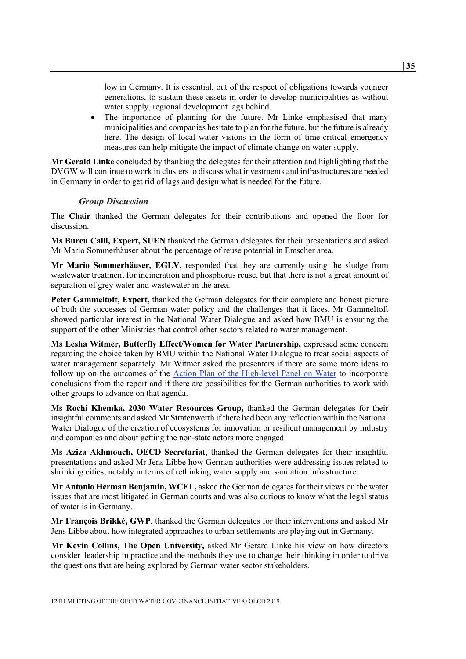low in Germany. It is essential, out of the respect of obligations towards younger generations, to sustain these assets in order to develop municipalities as without water supply, regional development lags behind.

• The importance of planning for the future. Mr Linke emphasised that many municipalities and companies hesitate to plan for the future, but the future is already here. The design of local water visions in the form of time-critical emergency measures can help mitigate the impact of climate change on water supply.

**Mr Gerald Linke** concluded by thanking the delegates for their attention and highlighting that the DVGW will continue to work in clusters to discuss what investments and infrastructures are needed in Germany in order to get rid of lags and design what is needed for the future.

#### *Group Discussion*

<span id="page-34-0"></span>The **Chair** thanked the German delegates for their contributions and opened the floor for discussion.

**Ms Burcu Çalli, Expert, SUEN** thanked the German delegates for their presentations and asked Mr Mario Sommerhäuser about the percentage of reuse potential in Emscher area.

**Mr Mario Sommerhäuser, EGLV,** responded that they are currently using the sludge from wastewater treatment for incineration and phosphorus reuse, but that there is not a great amount of separation of grey water and wastewater in the area.

Peter Gammeltoft, Expert, thanked the German delegates for their complete and honest picture of both the successes of German water policy and the challenges that it faces. Mr Gammeltoft showed particular interest in the National Water Dialogue and asked how BMU is ensuring the support of the other Ministries that control other sectors related to water management.

**Ms Lesha Witmer, Butterfly Effect/Women for Water Partnership, expressed some concern** regarding the choice taken by BMU within the National Water Dialogue to treat social aspects of water management separately. Mr Witmer asked the presenters if there are some more ideas to follow up on the outcomes of the [Action Plan of the High-level Panel on Water](https://sustainabledevelopment.un.org/content/documents/17825HLPW_Outcome.pdf) to incorporate conclusions from the report and if there are possibilities for the German authorities to work with other groups to advance on that agenda.

**Ms Rochi Khemka, 2030 Water Resources Group,** thanked the German delegates for their insightful comments and asked Mr Stratenwerth if there had been any reflection within the National Water Dialogue of the creation of ecosystems for innovation or resilient management by industry and companies and about getting the non-state actors more engaged.

**Ms Aziza Akhmouch, OECD Secretariat**, thanked the German delegates for their insightful presentations and asked Mr Jens Libbe how German authorities were addressing issues related to shrinking cities, notably in terms of rethinking water supply and sanitation infrastructure.

**Mr Antonio Herman Benjamin, WCEL,** asked the German delegates for their views on the water issues that are most litigated in German courts and was also curious to know what the legal status of water is in Germany.

**Mr François Brikké, GWP**, thanked the German delegates for their interventions and asked Mr Jens Libbe about how integrated approaches to urban settlements are playing out in Germany.

**Mr Kevin Collins, The Open University,** asked Mr Gerard Linke his view on how directors consider leadership in practice and the methods they use to change their thinking in order to drive the questions that are being explored by German water sector stakeholders.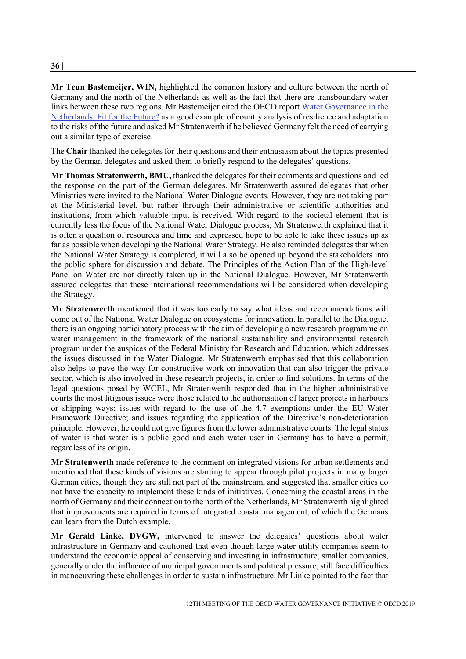### **Mr Teun Bastemeijer, WIN,** highlighted the common history and culture between the north of Germany and the north of the Netherlands as well as the fact that there are transboundary water links between these two regions. Mr Bastemeijer cited the OECD report [Water Governance in the](https://www.oecd-ilibrary.org/governance/water-governance-in-the-netherlands_9789264102637-en)  [Netherlands: Fit for the Future?](https://www.oecd-ilibrary.org/governance/water-governance-in-the-netherlands_9789264102637-en) as a good example of country analysis of resilience and adaptation to the risks of the future and asked Mr Stratenwerth if he believed Germany felt the need of carrying out a similar type of exercise.

The **Chair** thanked the delegates for their questions and their enthusiasm about the topics presented by the German delegates and asked them to briefly respond to the delegates' questions.

**Mr Thomas Stratenwerth, BMU,** thanked the delegates for their comments and questions and led the response on the part of the German delegates. Mr Stratenwerth assured delegates that other Ministries were invited to the National Water Dialogue events. However, they are not taking part at the Ministerial level, but rather through their administrative or scientific authorities and institutions, from which valuable input is received. With regard to the societal element that is currently less the focus of the National Water Dialogue process, Mr Stratenwerth explained that it is often a question of resources and time and expressed hope to be able to take these issues up as far as possible when developing the National Water Strategy. He also reminded delegates that when the National Water Strategy is completed, it will also be opened up beyond the stakeholders into the public sphere for discussion and debate. The Principles of the Action Plan of the High-level Panel on Water are not directly taken up in the National Dialogue. However, Mr Stratenwerth assured delegates that these international recommendations will be considered when developing the Strategy.

**Mr Stratenwerth** mentioned that it was too early to say what ideas and recommendations will come out of the National Water Dialogue on ecosystems for innovation. In parallel to the Dialogue, there is an ongoing participatory process with the aim of developing a new research programme on water management in the framework of the national sustainability and environmental research program under the auspices of the Federal Ministry for Research and Education, which addresses the issues discussed in the Water Dialogue. Mr Stratenwerth emphasised that this collaboration also helps to pave the way for constructive work on innovation that can also trigger the private sector, which is also involved in these research projects, in order to find solutions. In terms of the legal questions posed by WCEL, Mr Stratenwerth responded that in the higher administrative courts the most litigious issues were those related to the authorisation of larger projects in harbours or shipping ways; issues with regard to the use of the 4.7 exemptions under the EU Water Framework Directive; and issues regarding the application of the Directive's non-deterioration principle. However, he could not give figures from the lower administrative courts. The legal status of water is that water is a public good and each water user in Germany has to have a permit, regardless of its origin.

**Mr Stratenwerth** made reference to the comment on integrated visions for urban settlements and mentioned that these kinds of visions are starting to appear through pilot projects in many larger German cities, though they are still not part of the mainstream, and suggested that smaller cities do not have the capacity to implement these kinds of initiatives. Concerning the coastal areas in the north of Germany and their connection to the north of the Netherlands, Mr Stratenwerth highlighted that improvements are required in terms of integrated coastal management, of which the Germans can learn from the Dutch example.

**Mr Gerald Linke, DVGW,** intervened to answer the delegates' questions about water infrastructure in Germany and cautioned that even though large water utility companies seem to understand the economic appeal of conserving and investing in infrastructure, smaller companies, generally under the influence of municipal governments and political pressure, still face difficulties in manoeuvring these challenges in order to sustain infrastructure. Mr Linke pointed to the fact that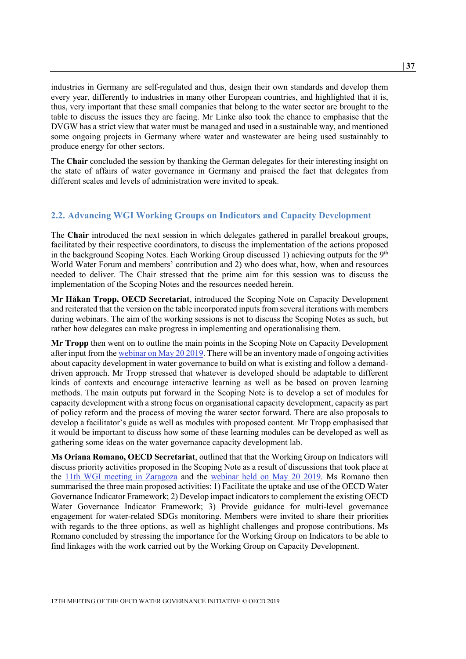industries in Germany are self-regulated and thus, design their own standards and develop them every year, differently to industries in many other European countries, and highlighted that it is, thus, very important that these small companies that belong to the water sector are brought to the table to discuss the issues they are facing. Mr Linke also took the chance to emphasise that the DVGW has a strict view that water must be managed and used in a sustainable way, and mentioned some ongoing projects in Germany where water and wastewater are being used sustainably to produce energy for other sectors.

The **Chair** concluded the session by thanking the German delegates for their interesting insight on the state of affairs of water governance in Germany and praised the fact that delegates from different scales and levels of administration were invited to speak.

# <span id="page-36-0"></span>**2.2. Advancing WGI Working Groups on Indicators and Capacity Development**

The **Chair** introduced the next session in which delegates gathered in parallel breakout groups, facilitated by their respective coordinators, to discuss the implementation of the actions proposed in the background Scoping Notes. Each Working Group discussed 1) achieving outputs for the  $9<sup>th</sup>$ World Water Forum and members' contribution and 2) who does what, how, when and resources needed to deliver. The Chair stressed that the prime aim for this session was to discuss the implementation of the Scoping Notes and the resources needed herein.

**Mr Håkan Tropp, OECD Secretariat**, introduced the Scoping Note on Capacity Development and reiterated that the version on the table incorporated inputs from several iterations with members during webinars. The aim of the working sessions is not to discuss the Scoping Notes as such, but rather how delegates can make progress in implementing and operationalising them.

**Mr Tropp** then went on to outline the main points in the Scoping Note on Capacity Development after input from th[e webinar on May 20 2019.](http://www.oecd.org/cfe/regional-policy/Summary_Webinar_Capacity_Development_20May_2019.pdf) There will be an inventory made of ongoing activities about capacity development in water governance to build on what is existing and follow a demanddriven approach. Mr Tropp stressed that whatever is developed should be adaptable to different kinds of contexts and encourage interactive learning as well as be based on proven learning methods. The main outputs put forward in the Scoping Note is to develop a set of modules for capacity development with a strong focus on organisational capacity development, capacity as part of policy reform and the process of moving the water sector forward. There are also proposals to develop a facilitator's guide as well as modules with proposed content. Mr Tropp emphasised that it would be important to discuss how some of these learning modules can be developed as well as gathering some ideas on the water governance capacity development lab.

**Ms Oriana Romano, OECD Secretariat**, outlined that that the Working Group on Indicators will discuss priority activities proposed in the Scoping Note as a result of discussions that took place at the [11th WGI meeting in Zaragoza](http://www.oecd.org/cfe/regional-policy/11th-meeting-of-the-oecd-water-governance-initiative.htm) and the [webinar held on May 20 2019.](http://www.oecd.org/cfe/regional-policy/Summary_Webinar_Indicators_20May_2019.pdf) Ms Romano then summarised the three main proposed activities: 1) Facilitate the uptake and use of the OECD Water Governance Indicator Framework; 2) Develop impact indicators to complement the existing OECD Water Governance Indicator Framework; 3) Provide guidance for multi-level governance engagement for water-related SDGs monitoring. Members were invited to share their priorities with regards to the three options, as well as highlight challenges and propose contributions. Ms Romano concluded by stressing the importance for the Working Group on Indicators to be able to find linkages with the work carried out by the Working Group on Capacity Development.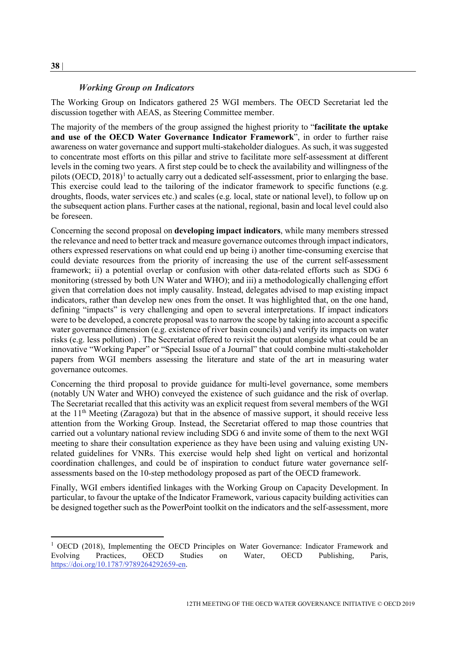#### *Working Group on Indicators*

<span id="page-37-0"></span>The Working Group on Indicators gathered 25 WGI members. The OECD Secretariat led the discussion together with AEAS, as Steering Committee member.

The majority of the members of the group assigned the highest priority to "**facilitate the uptake and use of the OECD Water Governance Indicator Framework**", in order to further raise awareness on water governance and support multi-stakeholder dialogues. As such, it was suggested to concentrate most efforts on this pillar and strive to facilitate more self-assessment at different levels in the coming two years. A first step could be to check the availability and willingness of the pilots (OECD,  $2018$  $2018$  $2018$ )<sup>1</sup> to actually carry out a dedicated self-assessment, prior to enlarging the base. This exercise could lead to the tailoring of the indicator framework to specific functions (e.g. droughts, floods, water services etc.) and scales (e.g. local, state or national level), to follow up on the subsequent action plans. Further cases at the national, regional, basin and local level could also be foreseen.

Concerning the second proposal on **developing impact indicators**, while many members stressed the relevance and need to better track and measure governance outcomes through impact indicators, others expressed reservations on what could end up being i) another time-consuming exercise that could deviate resources from the priority of increasing the use of the current self-assessment framework; ii) a potential overlap or confusion with other data-related efforts such as SDG 6 monitoring (stressed by both UN Water and WHO); and iii) a methodologically challenging effort given that correlation does not imply causality. Instead, delegates advised to map existing impact indicators, rather than develop new ones from the onset. It was highlighted that, on the one hand, defining "impacts" is very challenging and open to several interpretations. If impact indicators were to be developed, a concrete proposal was to narrow the scope by taking into account a specific water governance dimension (e.g. existence of river basin councils) and verify its impacts on water risks (e.g. less pollution) . The Secretariat offered to revisit the output alongside what could be an innovative "Working Paper" or "Special Issue of a Journal" that could combine multi-stakeholder papers from WGI members assessing the literature and state of the art in measuring water governance outcomes.

Concerning the third proposal to provide guidance for multi-level governance, some members (notably UN Water and WHO) conveyed the existence of such guidance and the risk of overlap. The Secretariat recalled that this activity was an explicit request from several members of the WGI at the 11<sup>th</sup> Meeting (Zaragoza) but that in the absence of massive support, it should receive less attention from the Working Group. Instead, the Secretariat offered to map those countries that carried out a voluntary national review including SDG 6 and invite some of them to the next WGI meeting to share their consultation experience as they have been using and valuing existing UNrelated guidelines for VNRs. This exercise would help shed light on vertical and horizontal coordination challenges, and could be of inspiration to conduct future water governance selfassessments based on the 10-step methodology proposed as part of the OECD framework.

Finally, WGI embers identified linkages with the Working Group on Capacity Development. In particular, to favour the uptake of the Indicator Framework, various capacity building activities can be designed together such as the PowerPoint toolkit on the indicators and the self-assessment, more

<span id="page-37-1"></span><sup>&</sup>lt;sup>1</sup> OECD (2018), Implementing the OECD Principles on Water Governance: Indicator Framework and Evolving Practices, OECD Studies on Water, OECD Publishing, Paris, [https://doi.org/10.1787/9789264292659-en.](https://doi.org/10.1787/9789264292659-en)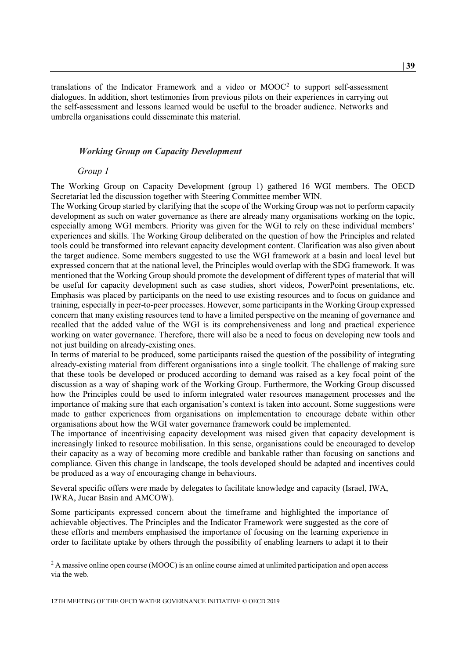translations of the Indicator Framework and a video or  $MOOC<sup>2</sup>$  $MOOC<sup>2</sup>$  $MOOC<sup>2</sup>$  to support self-assessment dialogues. In addition, short testimonies from previous pilots on their experiences in carrying out the self-assessment and lessons learned would be useful to the broader audience. Networks and umbrella organisations could disseminate this material.

### <span id="page-38-0"></span>*Working Group on Capacity Development*

#### *Group 1*

The Working Group on Capacity Development (group 1) gathered 16 WGI members. The OECD Secretariat led the discussion together with Steering Committee member WIN.

The Working Group started by clarifying that the scope of the Working Group was not to perform capacity development as such on water governance as there are already many organisations working on the topic, especially among WGI members. Priority was given for the WGI to rely on these individual members' experiences and skills. The Working Group deliberated on the question of how the Principles and related tools could be transformed into relevant capacity development content. Clarification was also given about the target audience. Some members suggested to use the WGI framework at a basin and local level but expressed concern that at the national level, the Principles would overlap with the SDG framework. It was mentioned that the Working Group should promote the development of different types of material that will be useful for capacity development such as case studies, short videos, PowerPoint presentations, etc. Emphasis was placed by participants on the need to use existing resources and to focus on guidance and training, especially in peer-to-peer processes. However, some participants in the Working Group expressed concern that many existing resources tend to have a limited perspective on the meaning of governance and recalled that the added value of the WGI is its comprehensiveness and long and practical experience working on water governance. Therefore, there will also be a need to focus on developing new tools and not just building on already-existing ones.

In terms of material to be produced, some participants raised the question of the possibility of integrating already-existing material from different organisations into a single toolkit. The challenge of making sure that these tools be developed or produced according to demand was raised as a key focal point of the discussion as a way of shaping work of the Working Group. Furthermore, the Working Group discussed how the Principles could be used to inform integrated water resources management processes and the importance of making sure that each organisation's context is taken into account. Some suggestions were made to gather experiences from organisations on implementation to encourage debate within other organisations about how the WGI water governance framework could be implemented.

The importance of incentivising capacity development was raised given that capacity development is increasingly linked to resource mobilisation. In this sense, organisations could be encouraged to develop their capacity as a way of becoming more credible and bankable rather than focusing on sanctions and compliance. Given this change in landscape, the tools developed should be adapted and incentives could be produced as a way of encouraging change in behaviours.

Several specific offers were made by delegates to facilitate knowledge and capacity (Israel, IWA, IWRA, Jucar Basin and AMCOW).

Some participants expressed concern about the timeframe and highlighted the importance of achievable objectives. The Principles and the Indicator Framework were suggested as the core of these efforts and members emphasised the importance of focusing on the learning experience in order to facilitate uptake by others through the possibility of enabling learners to adapt it to their

<span id="page-38-1"></span> $^{2}$  A massive online open course (MOOC) is an [online course](https://en.wikipedia.org/wiki/Online_course) aimed at unlimited participation and open access via the [web.](https://en.wikipedia.org/wiki/World_Wide_Web)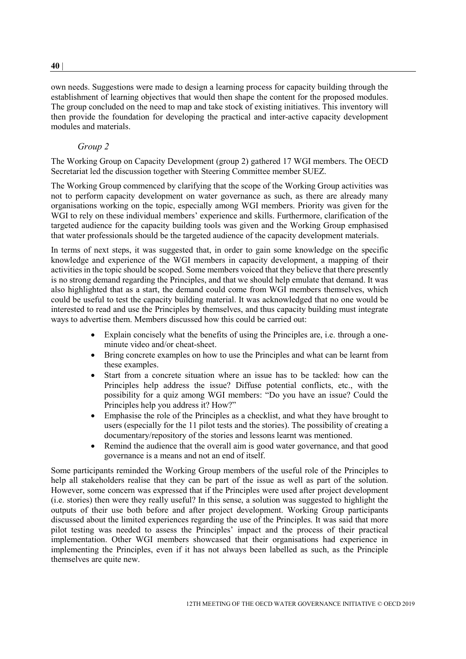own needs. Suggestions were made to design a learning process for capacity building through the establishment of learning objectives that would then shape the content for the proposed modules. The group concluded on the need to map and take stock of existing initiatives. This inventory will then provide the foundation for developing the practical and inter-active capacity development modules and materials.

### *Group 2*

The Working Group on Capacity Development (group 2) gathered 17 WGI members. The OECD Secretariat led the discussion together with Steering Committee member SUEZ.

The Working Group commenced by clarifying that the scope of the Working Group activities was not to perform capacity development on water governance as such, as there are already many organisations working on the topic, especially among WGI members. Priority was given for the WGI to rely on these individual members' experience and skills. Furthermore, clarification of the targeted audience for the capacity building tools was given and the Working Group emphasised that water professionals should be the targeted audience of the capacity development materials.

In terms of next steps, it was suggested that, in order to gain some knowledge on the specific knowledge and experience of the WGI members in capacity development, a mapping of their activities in the topic should be scoped. Some members voiced that they believe that there presently is no strong demand regarding the Principles, and that we should help emulate that demand. It was also highlighted that as a start, the demand could come from WGI members themselves, which could be useful to test the capacity building material. It was acknowledged that no one would be interested to read and use the Principles by themselves, and thus capacity building must integrate ways to advertise them. Members discussed how this could be carried out:

- Explain concisely what the benefits of using the Principles are, i.e. through a oneminute video and/or cheat-sheet.
- Bring concrete examples on how to use the Principles and what can be learnt from these examples.
- Start from a concrete situation where an issue has to be tackled: how can the Principles help address the issue? Diffuse potential conflicts, etc., with the possibility for a quiz among WGI members: "Do you have an issue? Could the Principles help you address it? How?"
- Emphasise the role of the Principles as a checklist, and what they have brought to users (especially for the 11 pilot tests and the stories). The possibility of creating a documentary/repository of the stories and lessons learnt was mentioned.
- Remind the audience that the overall aim is good water governance, and that good governance is a means and not an end of itself.

Some participants reminded the Working Group members of the useful role of the Principles to help all stakeholders realise that they can be part of the issue as well as part of the solution. However, some concern was expressed that if the Principles were used after project development (i.e. stories) then were they really useful? In this sense, a solution was suggested to highlight the outputs of their use both before and after project development. Working Group participants discussed about the limited experiences regarding the use of the Principles. It was said that more pilot testing was needed to assess the Principles' impact and the process of their practical implementation. Other WGI members showcased that their organisations had experience in implementing the Principles, even if it has not always been labelled as such, as the Principle themselves are quite new.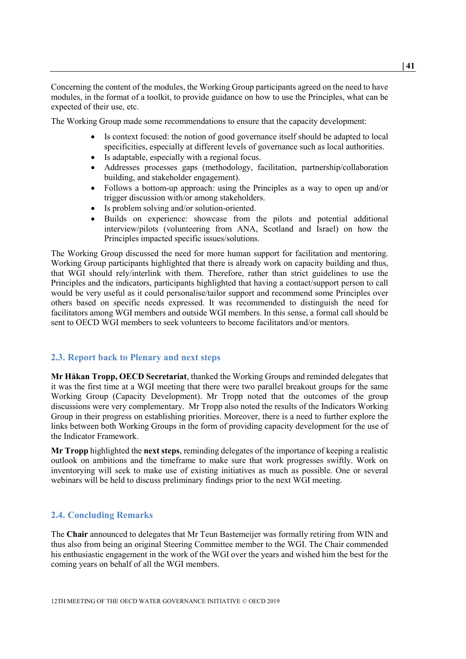Concerning the content of the modules, the Working Group participants agreed on the need to have modules, in the format of a toolkit, to provide guidance on how to use the Principles, what can be expected of their use, etc.

The Working Group made some recommendations to ensure that the capacity development:

- Is context focused: the notion of good governance itself should be adapted to local specificities, especially at different levels of governance such as local authorities.
- Is adaptable, especially with a regional focus.
- Addresses processes gaps (methodology, facilitation, partnership/collaboration building, and stakeholder engagement).
- Follows a bottom-up approach: using the Principles as a way to open up and/or trigger discussion with/or among stakeholders.
- Is problem solving and/or solution-oriented.
- Builds on experience: showcase from the pilots and potential additional interview/pilots (volunteering from ANA, Scotland and Israel) on how the Principles impacted specific issues/solutions.

The Working Group discussed the need for more human support for facilitation and mentoring. Working Group participants highlighted that there is already work on capacity building and thus, that WGI should rely/interlink with them. Therefore, rather than strict guidelines to use the Principles and the indicators, participants highlighted that having a contact/support person to call would be very useful as it could personalise/tailor support and recommend some Principles over others based on specific needs expressed. It was recommended to distinguish the need for facilitators among WGI members and outside WGI members. In this sense, a formal call should be sent to OECD WGI members to seek volunteers to become facilitators and/or mentors.

#### <span id="page-40-0"></span>**2.3. Report back to Plenary and next steps**

**Mr Håkan Tropp, OECD Secretariat**, thanked the Working Groups and reminded delegates that it was the first time at a WGI meeting that there were two parallel breakout groups for the same Working Group (Capacity Development). Mr Tropp noted that the outcomes of the group discussions were very complementary. Mr Tropp also noted the results of the Indicators Working Group in their progress on establishing priorities. Moreover, there is a need to further explore the links between both Working Groups in the form of providing capacity development for the use of the Indicator Framework.

**Mr Tropp** highlighted the **next steps**, reminding delegates of the importance of keeping a realistic outlook on ambitions and the timeframe to make sure that work progresses swiftly. Work on inventorying will seek to make use of existing initiatives as much as possible. One or several webinars will be held to discuss preliminary findings prior to the next WGI meeting.

# <span id="page-40-1"></span>**2.4. Concluding Remarks**

The **Chair** announced to delegates that Mr Teun Bastemeijer was formally retiring from WIN and thus also from being an original Steering Committee member to the WGI. The Chair commended his enthusiastic engagement in the work of the WGI over the years and wished him the best for the coming years on behalf of all the WGI members.